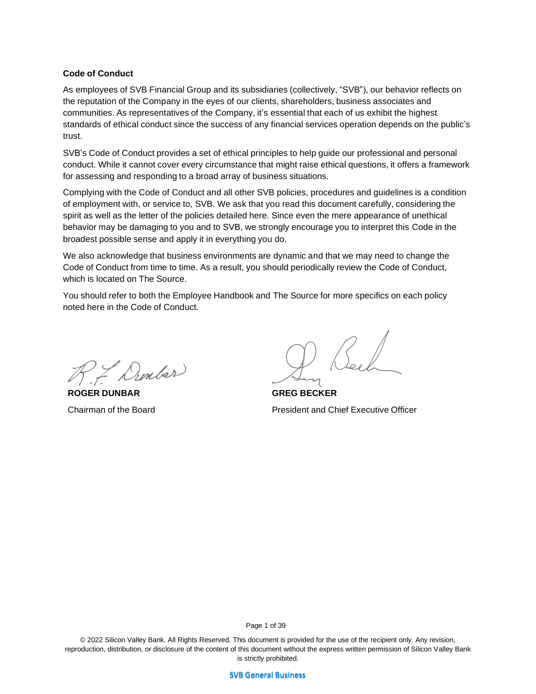#### **Code of Conduct**

As employees of SVB Financial Group and its subsidiaries (collectively, "SVB"), our behavior reflects on the reputation of the Company in the eyes of our clients, shareholders, business associates and communities. As representatives of the Company, it's essential that each of us exhibit the highest standards of ethical conduct since the success of any financial services operation depends on the public's trust.

SVB's Code of Conduct provides a set of ethical principles to help guide our professional and personal conduct. While it cannot cover every circumstance that might raise ethical questions, it offers a framework for assessing and responding to a broad array of business situations.

Complying with the Code of Conduct and all other SVB policies, procedures and guidelines is a condition of employment with, or service to, SVB. We ask that you read this document carefully, considering the spirit as well as the letter of the policies detailed here. Since even the mere appearance of unethical behavior may be damaging to you and to SVB, we strongly encourage you to interpret this Code in the broadest possible sense and apply it in everything you do.

We also acknowledge that business environments are dynamic and that we may need to change the Code of Conduct from time to time. As a result, you should periodically review the Code of Conduct, which is located on The Source.

You should refer to both the Employee Handbook and The Source for more specifics on each policy noted here in the Code of Conduct.

R7 Dunbar

**ROGER DUNBAR** Chairman of the Board

**GREG BECKER** President and Chief Executive Officer

Page 1 of 39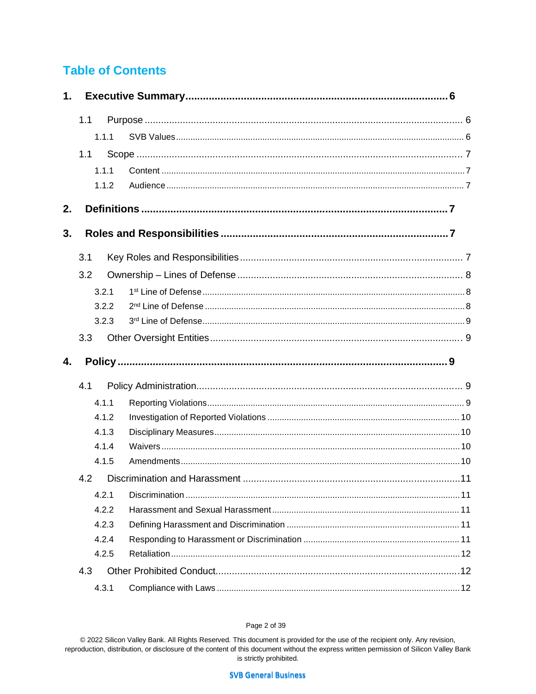# **Table of Contents**

| $\mathbf 1$ . |       |                                                         |  |  |  |
|---------------|-------|---------------------------------------------------------|--|--|--|
|               | 1.1   |                                                         |  |  |  |
|               | 1.1.1 |                                                         |  |  |  |
|               | 1.1   |                                                         |  |  |  |
|               | 1.1.1 |                                                         |  |  |  |
|               | 1.1.2 |                                                         |  |  |  |
| 2.            |       | <u>Definitions ……………………………………………………………………………………………7</u> |  |  |  |
| 3.            |       |                                                         |  |  |  |
|               | 3.1   |                                                         |  |  |  |
|               | 3.2   |                                                         |  |  |  |
|               | 3.2.1 |                                                         |  |  |  |
|               | 3.2.2 |                                                         |  |  |  |
|               | 3.2.3 |                                                         |  |  |  |
|               | 3.3   |                                                         |  |  |  |
|               |       |                                                         |  |  |  |
| 4.            |       |                                                         |  |  |  |
|               | 4.1   |                                                         |  |  |  |
|               | 4.1.1 |                                                         |  |  |  |
|               | 4.1.2 |                                                         |  |  |  |
|               | 4.1.3 |                                                         |  |  |  |
|               | 4.1.4 |                                                         |  |  |  |
|               | 4.1.5 |                                                         |  |  |  |
|               | 4.2   |                                                         |  |  |  |
|               | 4.2.1 |                                                         |  |  |  |
|               | 4.2.2 |                                                         |  |  |  |
|               | 4.2.3 |                                                         |  |  |  |
|               | 4.2.4 |                                                         |  |  |  |
|               | 4.2.5 |                                                         |  |  |  |
|               | 4.3   |                                                         |  |  |  |

#### Page 2 of 39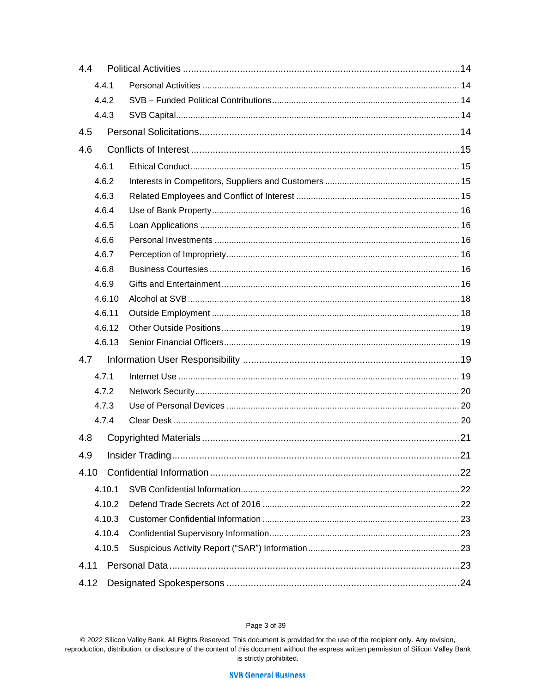| 4.4    |        |  |  |  |
|--------|--------|--|--|--|
|        | 4.4.1  |  |  |  |
| 4.4.2  |        |  |  |  |
| 4.4.3  |        |  |  |  |
| 4.5    |        |  |  |  |
| 4.6    |        |  |  |  |
|        | 4.6.1  |  |  |  |
|        | 4.6.2  |  |  |  |
|        | 4.6.3  |  |  |  |
|        | 4.6.4  |  |  |  |
|        | 4.6.5  |  |  |  |
|        | 4.6.6  |  |  |  |
|        | 4.6.7  |  |  |  |
|        | 4.6.8  |  |  |  |
|        | 4.6.9  |  |  |  |
|        | 4.6.10 |  |  |  |
| 4.6.11 |        |  |  |  |
|        | 4.6.12 |  |  |  |
|        | 4.6.13 |  |  |  |
| 4.7    |        |  |  |  |
|        | 4.7.1  |  |  |  |
|        | 4.7.2  |  |  |  |
|        | 4.7.3  |  |  |  |
|        | 4.7.4  |  |  |  |
| 4.8    |        |  |  |  |
| 4.9    |        |  |  |  |
| 4.10   |        |  |  |  |
|        | 4.10.1 |  |  |  |
|        | 4.10.2 |  |  |  |
|        | 4.10.3 |  |  |  |
|        | 4.10.4 |  |  |  |
|        | 4.10.5 |  |  |  |
| 4.11   |        |  |  |  |
| 4.12   |        |  |  |  |

#### Page 3 of 39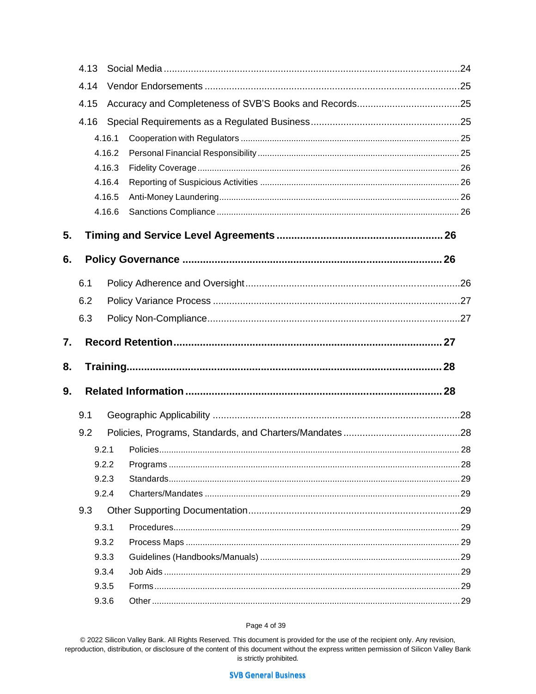|    | 4.13 |        |  |  |
|----|------|--------|--|--|
|    | 4.14 |        |  |  |
|    | 4.15 |        |  |  |
|    | 4.16 |        |  |  |
|    |      | 4.16.1 |  |  |
|    |      | 4.16.2 |  |  |
|    |      | 4.16.3 |  |  |
|    |      | 4.16.4 |  |  |
|    |      | 4.16.5 |  |  |
|    |      | 4.16.6 |  |  |
| 5. |      |        |  |  |
| 6. |      |        |  |  |
|    | 6.1  |        |  |  |
|    | 6.2  |        |  |  |
|    | 6.3  |        |  |  |
|    |      |        |  |  |
| 7. |      |        |  |  |
| 8. |      |        |  |  |
| 9. |      |        |  |  |
|    | 9.1  |        |  |  |
|    | 9.2  |        |  |  |
|    |      | 9.2.1  |  |  |
|    |      | 9.2.2  |  |  |
|    |      | 9.2.3  |  |  |
|    |      | 9.2.4  |  |  |
|    | 9.3  |        |  |  |
|    |      | 9.3.1  |  |  |
|    |      | 9.3.2  |  |  |
|    |      | 9.3.3  |  |  |
|    |      | 9.3.4  |  |  |
|    |      | 9.3.5  |  |  |

#### Page 4 of 39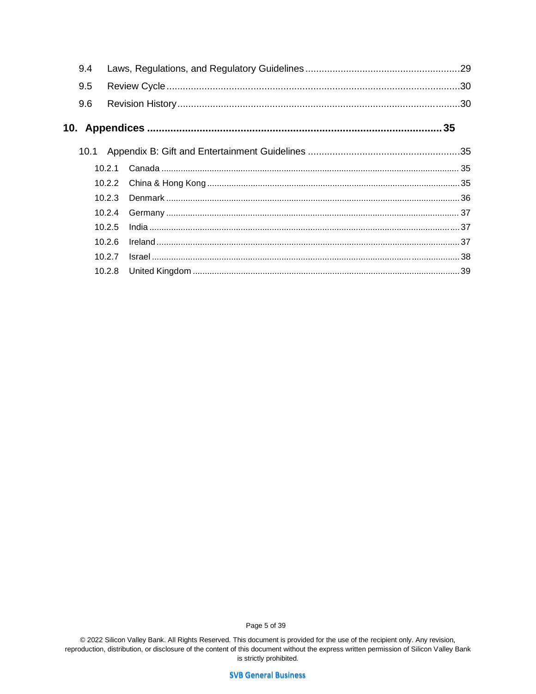| 9.4 |        |  |  |  |
|-----|--------|--|--|--|
| 9.5 |        |  |  |  |
| 9.6 |        |  |  |  |
|     |        |  |  |  |
|     |        |  |  |  |
|     |        |  |  |  |
|     |        |  |  |  |
|     | 10.2.3 |  |  |  |
|     | 10.2.4 |  |  |  |
|     | 10.2.5 |  |  |  |
|     | 10.26  |  |  |  |
|     | 10.2.7 |  |  |  |
|     |        |  |  |  |

Page 5 of 39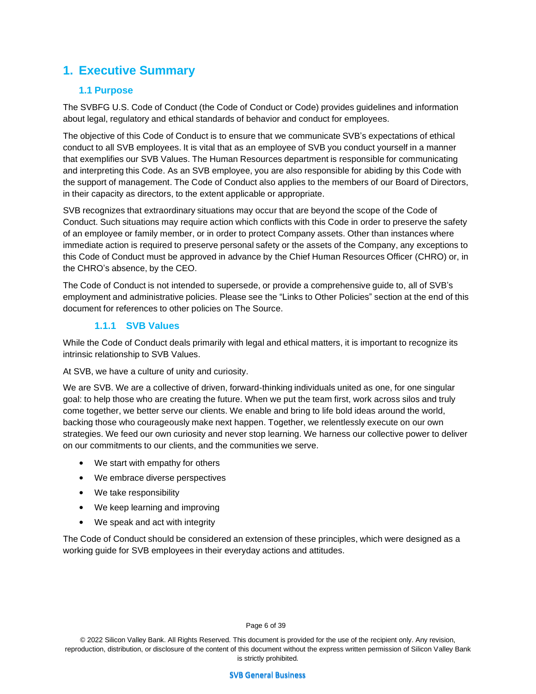# **1. Executive Summary**

## **1.1 Purpose**

The SVBFG U.S. Code of Conduct (the Code of Conduct or Code) provides guidelines and information about legal, regulatory and ethical standards of behavior and conduct for employees.

The objective of this Code of Conduct is to ensure that we communicate SVB's expectations of ethical conduct to all SVB employees. It is vital that as an employee of SVB you conduct yourself in a manner that exemplifies our SVB Values. The Human Resources department is responsible for communicating and interpreting this Code. As an SVB employee, you are also responsible for abiding by this Code with the support of management. The Code of Conduct also applies to the members of our Board of Directors, in their capacity as directors, to the extent applicable or appropriate.

SVB recognizes that extraordinary situations may occur that are beyond the scope of the Code of Conduct. Such situations may require action which conflicts with this Code in order to preserve the safety of an employee or family member, or in order to protect Company assets. Other than instances where immediate action is required to preserve personal safety or the assets of the Company, any exceptions to this Code of Conduct must be approved in advance by the Chief Human Resources Officer (CHRO) or, in the CHRO's absence, by the CEO.

The Code of Conduct is not intended to supersede, or provide a comprehensive guide to, all of SVB's employment and administrative policies. Please see the "Links to Other Policies" section at the end of this document for references to other policies on The Source.

# **1.1.1 SVB Values**

While the Code of Conduct deals primarily with legal and ethical matters, it is important to recognize its intrinsic relationship to SVB Values.

At SVB, we have a culture of unity and curiosity.

We are SVB. We are a collective of driven, forward-thinking individuals united as one, for one singular goal: to help those who are creating the future. When we put the team first, work across silos and truly come together, we better serve our clients. We enable and bring to life bold ideas around the world, backing those who courageously make next happen. Together, we relentlessly execute on our own strategies. We feed our own curiosity and never stop learning. We harness our collective power to deliver on our commitments to our clients, and the communities we serve.

- We start with empathy for others
- We embrace diverse perspectives
- We take responsibility
- We keep learning and improving
- We speak and act with integrity

The Code of Conduct should be considered an extension of these principles, which were designed as a working guide for SVB employees in their everyday actions and attitudes.

#### Page 6 of 39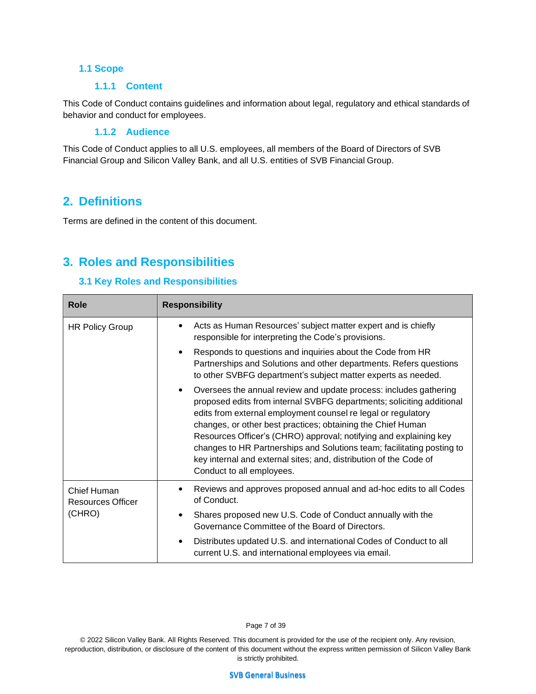#### **1.1 Scope**

#### **1.1.1 Content**

This Code of Conduct contains guidelines and information about legal, regulatory and ethical standards of behavior and conduct for employees.

#### **1.1.2 Audience**

This Code of Conduct applies to all U.S. employees, all members of the Board of Directors of SVB Financial Group and Silicon Valley Bank, and all U.S. entities of SVB Financial Group.

# **2. Definitions**

Terms are defined in the content of this document.

# **3. Roles and Responsibilities**

## **3.1 Key Roles and Responsibilities**

| <b>Role</b>                      | <b>Responsibility</b>                                                                                                                                                                                                                                                                                                                                                                                                                                                                                                                    |  |  |
|----------------------------------|------------------------------------------------------------------------------------------------------------------------------------------------------------------------------------------------------------------------------------------------------------------------------------------------------------------------------------------------------------------------------------------------------------------------------------------------------------------------------------------------------------------------------------------|--|--|
| <b>HR Policy Group</b>           | Acts as Human Resources' subject matter expert and is chiefly<br>٠<br>responsible for interpreting the Code's provisions.                                                                                                                                                                                                                                                                                                                                                                                                                |  |  |
|                                  | Responds to questions and inquiries about the Code from HR<br>$\bullet$<br>Partnerships and Solutions and other departments. Refers questions<br>to other SVBFG department's subject matter experts as needed.                                                                                                                                                                                                                                                                                                                           |  |  |
|                                  | Oversees the annual review and update process: includes gathering<br>$\bullet$<br>proposed edits from internal SVBFG departments; soliciting additional<br>edits from external employment counsel re legal or regulatory<br>changes, or other best practices; obtaining the Chief Human<br>Resources Officer's (CHRO) approval; notifying and explaining key<br>changes to HR Partnerships and Solutions team; facilitating posting to<br>key internal and external sites; and, distribution of the Code of<br>Conduct to all employees. |  |  |
| Chief Human<br>Resources Officer | Reviews and approves proposed annual and ad-hoc edits to all Codes<br>٠<br>of Conduct.                                                                                                                                                                                                                                                                                                                                                                                                                                                   |  |  |
| (CHRO)                           | Shares proposed new U.S. Code of Conduct annually with the<br>$\bullet$<br>Governance Committee of the Board of Directors.                                                                                                                                                                                                                                                                                                                                                                                                               |  |  |
|                                  | Distributes updated U.S. and international Codes of Conduct to all<br>$\bullet$<br>current U.S. and international employees via email.                                                                                                                                                                                                                                                                                                                                                                                                   |  |  |

Page 7 of 39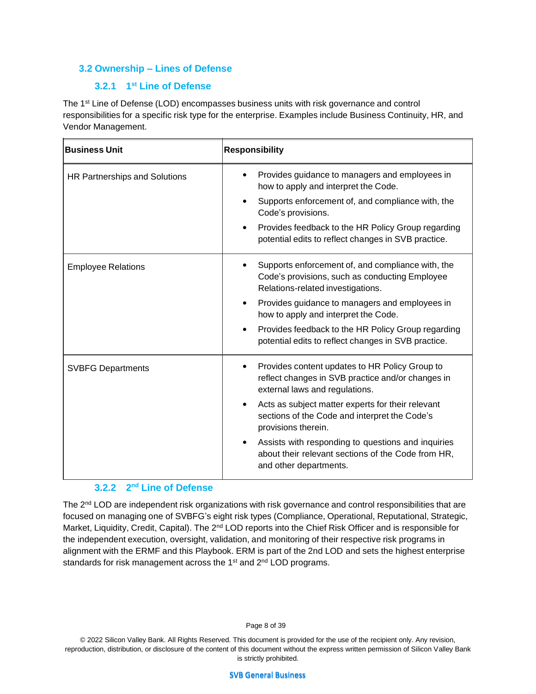#### **3.2 Ownership – Lines of Defense**

## **3.2.1 1 st Line of Defense**

The 1<sup>st</sup> Line of Defense (LOD) encompasses business units with risk governance and control responsibilities for a specific risk type for the enterprise. Examples include Business Continuity, HR, and Vendor Management.

| <b>Business Unit</b>          | <b>Responsibility</b>                                                                                                                                             |  |  |
|-------------------------------|-------------------------------------------------------------------------------------------------------------------------------------------------------------------|--|--|
| HR Partnerships and Solutions | Provides guidance to managers and employees in<br>how to apply and interpret the Code.<br>Supports enforcement of, and compliance with, the<br>Code's provisions. |  |  |
|                               | Provides feedback to the HR Policy Group regarding<br>potential edits to reflect changes in SVB practice.                                                         |  |  |
| <b>Employee Relations</b>     | Supports enforcement of, and compliance with, the<br>Code's provisions, such as conducting Employee<br>Relations-related investigations.                          |  |  |
|                               | Provides guidance to managers and employees in<br>how to apply and interpret the Code.                                                                            |  |  |
|                               | Provides feedback to the HR Policy Group regarding<br>potential edits to reflect changes in SVB practice.                                                         |  |  |
| <b>SVBFG Departments</b>      | Provides content updates to HR Policy Group to<br>reflect changes in SVB practice and/or changes in<br>external laws and regulations.                             |  |  |
|                               | Acts as subject matter experts for their relevant<br>sections of the Code and interpret the Code's<br>provisions therein.                                         |  |  |
|                               | Assists with responding to questions and inquiries<br>about their relevant sections of the Code from HR,<br>and other departments.                                |  |  |

#### **3.2.2 2 nd Line of Defense**

The 2<sup>nd</sup> LOD are independent risk organizations with risk governance and control responsibilities that are focused on managing one of SVBFG's eight risk types (Compliance, Operational, Reputational, Strategic, Market, Liquidity, Credit, Capital). The 2<sup>nd</sup> LOD reports into the Chief Risk Officer and is responsible for the independent execution, oversight, validation, and monitoring of their respective risk programs in alignment with the ERMF and this Playbook. ERM is part of the 2nd LOD and sets the highest enterprise standards for risk management across the 1<sup>st</sup> and 2<sup>nd</sup> LOD programs.

#### Page 8 of 39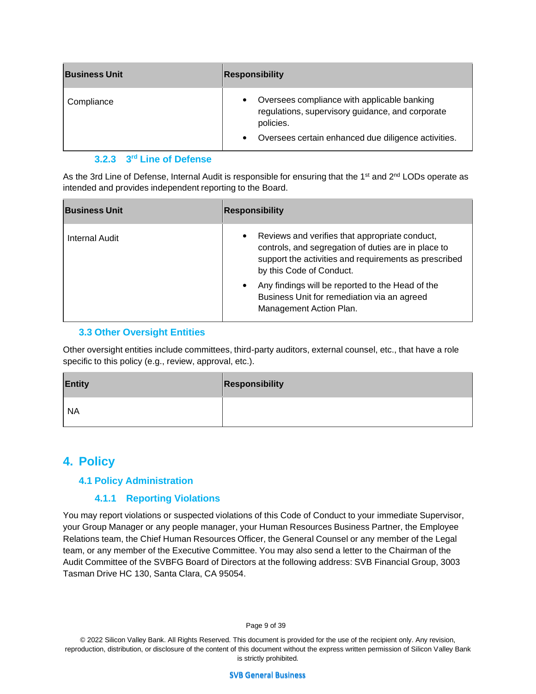| <b>Business Unit</b> | <b>Responsibility</b>                                                                                                                                               |  |  |
|----------------------|---------------------------------------------------------------------------------------------------------------------------------------------------------------------|--|--|
| Compliance           | Oversees compliance with applicable banking<br>regulations, supervisory guidance, and corporate<br>policies.<br>Oversees certain enhanced due diligence activities. |  |  |

#### **3.2.3 3 rd Line of Defense**

As the 3rd Line of Defense, Internal Audit is responsible for ensuring that the 1<sup>st</sup> and 2<sup>nd</sup> LODs operate as intended and provides independent reporting to the Board.

| <b>Business Unit</b> | Responsibility                                                                                                                                                                                          |  |  |
|----------------------|---------------------------------------------------------------------------------------------------------------------------------------------------------------------------------------------------------|--|--|
| Internal Audit       | Reviews and verifies that appropriate conduct,<br>$\bullet$<br>controls, and segregation of duties are in place to<br>support the activities and requirements as prescribed<br>by this Code of Conduct. |  |  |
|                      | Any findings will be reported to the Head of the<br>٠<br>Business Unit for remediation via an agreed<br>Management Action Plan.                                                                         |  |  |

## **3.3 Other Oversight Entities**

Other oversight entities include committees, third-party auditors, external counsel, etc., that have a role specific to this policy (e.g., review, approval, etc.).

| <b>Entity</b> | Responsibility |
|---------------|----------------|
| ' NA          |                |

# **4. Policy**

## **4.1 Policy Administration**

# **4.1.1 Reporting Violations**

You may report violations or suspected violations of this Code of Conduct to your immediate Supervisor, your Group Manager or any people manager, your Human Resources Business Partner, the Employee Relations team, the Chief Human Resources Officer, the General Counsel or any member of the Legal team, or any member of the Executive Committee. You may also send a letter to the Chairman of the Audit Committee of the SVBFG Board of Directors at the following address: SVB Financial Group, 3003 Tasman Drive HC 130, Santa Clara, CA 95054.

Page 9 of 39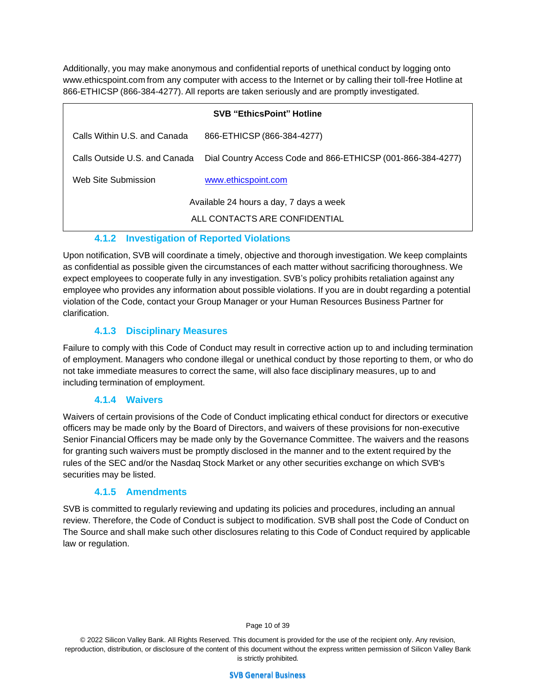Additionally, you may make anonymous and confidential reports of unethical conduct by logging ont[o](http://www.ethicspoint.com/) [www.ethicspoint.com](http://www.ethicspoint.com/) from any computer with access to the Internet or by calling their toll-free Hotline at 866-ETHICSP (866-384-4277). All reports are taken seriously and are promptly investigated.

| <b>SVB "EthicsPoint" Hotline</b>                                         |                                                             |  |  |  |
|--------------------------------------------------------------------------|-------------------------------------------------------------|--|--|--|
| Calls Within U.S. and Canada                                             | 866-ETHICSP (866-384-4277)                                  |  |  |  |
| Calls Outside U.S. and Canada                                            | Dial Country Access Code and 866-ETHICSP (001-866-384-4277) |  |  |  |
| Web Site Submission                                                      | www.ethicspoint.com                                         |  |  |  |
| Available 24 hours a day, 7 days a week<br>ALL CONTACTS ARE CONFIDENTIAL |                                                             |  |  |  |

# **4.1.2 Investigation of Reported Violations**

Upon notification, SVB will coordinate a timely, objective and thorough investigation. We keep complaints as confidential as possible given the circumstances of each matter without sacrificing thoroughness. We expect employees to cooperate fully in any investigation. SVB's policy prohibits retaliation against any employee who provides any information about possible violations. If you are in doubt regarding a potential violation of the Code, contact your Group Manager or your Human Resources Business Partner for clarification.

# **4.1.3 Disciplinary Measures**

Failure to comply with this Code of Conduct may result in corrective action up to and including termination of employment. Managers who condone illegal or unethical conduct by those reporting to them, or who do not take immediate measures to correct the same, will also face disciplinary measures, up to and including termination of employment.

## **4.1.4 Waivers**

Waivers of certain provisions of the Code of Conduct implicating ethical conduct for directors or executive officers may be made only by the Board of Directors, and waivers of these provisions for non-executive Senior Financial Officers may be made only by the Governance Committee. The waivers and the reasons for granting such waivers must be promptly disclosed in the manner and to the extent required by the rules of the SEC and/or the Nasdaq Stock Market or any other securities exchange on which SVB's securities may be listed.

# **4.1.5 Amendments**

SVB is committed to regularly reviewing and updating its policies and procedures, including an annual review. Therefore, the Code of Conduct is subject to modification. SVB shall post the Code of Conduct on The Source and shall make such other disclosures relating to this Code of Conduct required by applicable law or regulation.

Page 10 of 39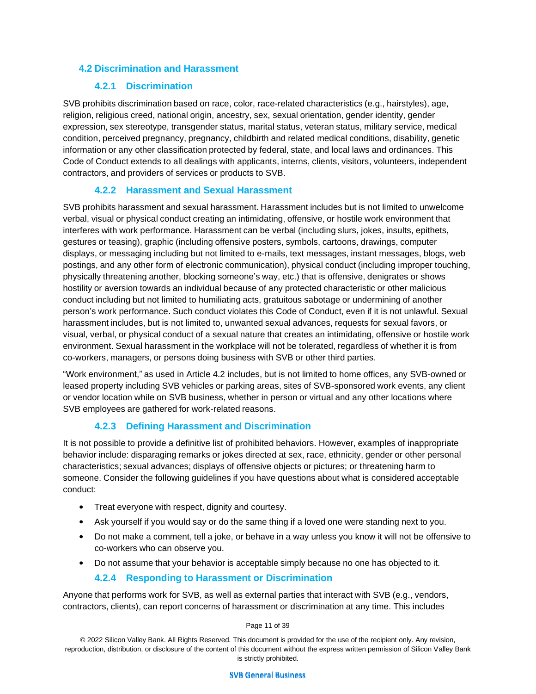#### **4.2 Discrimination and Harassment**

### **4.2.1 Discrimination**

SVB prohibits discrimination based on race, color, race-related characteristics (e.g., hairstyles), age, religion, religious creed, national origin, ancestry, sex, sexual orientation, gender identity, gender expression, sex stereotype, transgender status, marital status, veteran status, military service, medical condition, perceived pregnancy, pregnancy, childbirth and related medical conditions, disability, genetic information or any other classification protected by federal, state, and local laws and ordinances. This Code of Conduct extends to all dealings with applicants, interns, clients, visitors, volunteers, independent contractors, and providers of services or products to SVB.

## **4.2.2 Harassment and Sexual Harassment**

SVB prohibits harassment and sexual harassment. Harassment includes but is not limited to unwelcome verbal, visual or physical conduct creating an intimidating, offensive, or hostile work environment that interferes with work performance. Harassment can be verbal (including slurs, jokes, insults, epithets, gestures or teasing), graphic (including offensive posters, symbols, cartoons, drawings, computer displays, or messaging including but not limited to e-mails, text messages, instant messages, blogs, web postings, and any other form of electronic communication), physical conduct (including improper touching, physically threatening another, blocking someone's way, etc.) that is offensive, denigrates or shows hostility or aversion towards an individual because of any protected characteristic or other malicious conduct including but not limited to humiliating acts, gratuitous sabotage or undermining of another person's work performance. Such conduct violates this Code of Conduct, even if it is not unlawful. Sexual harassment includes, but is not limited to, unwanted sexual advances, requests for sexual favors, or visual, verbal, or physical conduct of a sexual nature that creates an intimidating, offensive or hostile work environment. Sexual harassment in the workplace will not be tolerated, regardless of whether it is from co-workers, managers, or persons doing business with SVB or other third parties.

"Work environment," as used in Article 4.2 includes, but is not limited to home offices, any SVB-owned or leased property including SVB vehicles or parking areas, sites of SVB-sponsored work events, any client or vendor location while on SVB business, whether in person or virtual and any other locations where SVB employees are gathered for work-related reasons.

## **4.2.3 Defining Harassment and Discrimination**

It is not possible to provide a definitive list of prohibited behaviors. However, examples of inappropriate behavior include: disparaging remarks or jokes directed at sex, race, ethnicity, gender or other personal characteristics; sexual advances; displays of offensive objects or pictures; or threatening harm to someone. Consider the following guidelines if you have questions about what is considered acceptable conduct:

- Treat everyone with respect, dignity and courtesy.
- Ask yourself if you would say or do the same thing if a loved one were standing next to you.
- Do not make a comment, tell a joke, or behave in a way unless you know it will not be offensive to co-workers who can observe you.
- Do not assume that your behavior is acceptable simply because no one has objected to it.

#### **4.2.4 Responding to Harassment or Discrimination**

Anyone that performs work for SVB, as well as external parties that interact with SVB (e.g., vendors, contractors, clients), can report concerns of harassment or discrimination at any time. This includes

Page 11 of 39

© 2022 Silicon Valley Bank. All Rights Reserved. This document is provided for the use of the recipient only. Any revision, reproduction, distribution, or disclosure of the content of this document without the express written permission of Silicon Valley Bank is strictly prohibited.

**SVB General Business**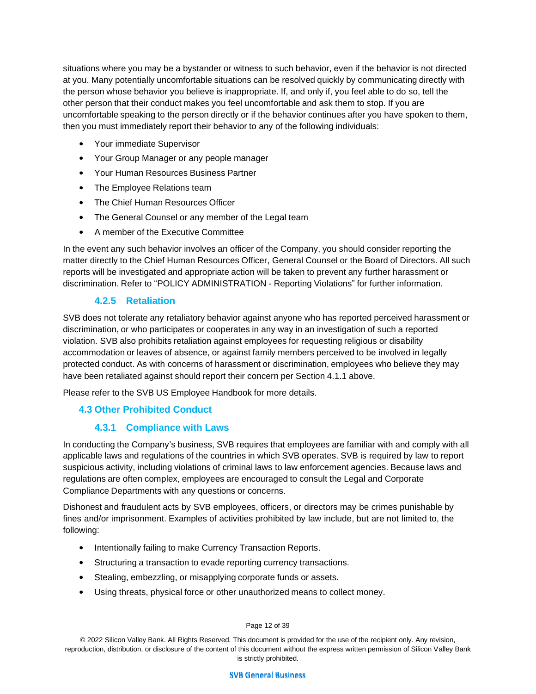situations where you may be a bystander or witness to such behavior, even if the behavior is not directed at you. Many potentially uncomfortable situations can be resolved quickly by communicating directly with the person whose behavior you believe is inappropriate. If, and only if, you feel able to do so, tell the other person that their conduct makes you feel uncomfortable and ask them to stop. If you are uncomfortable speaking to the person directly or if the behavior continues after you have spoken to them, then you must immediately report their behavior to any of the following individuals:

- Your immediate Supervisor
- Your Group Manager or any people manager
- Your Human Resources Business Partner
- The Employee Relations team
- The Chief Human Resources Officer
- The General Counsel or any member of the Legal team
- A member of the Executive Committee

In the event any such behavior involves an officer of the Company, you should consider reporting the matter directly to the Chief Human Resources Officer, General Counsel or the Board of Directors. All such reports will be investigated and appropriate action will be taken to prevent any further harassment or discrimination. Refer to "POLICY ADMINISTRATION - Reporting Violations" for further information.

# **4.2.5 Retaliation**

SVB does not tolerate any retaliatory behavior against anyone who has reported perceived harassment or discrimination, or who participates or cooperates in any way in an investigation of such a reported violation. SVB also prohibits retaliation against employees for requesting religious or disability accommodation or leaves of absence, or against family members perceived to be involved in legally protected conduct. As with concerns of harassment or discrimination, employees who believe they may have been retaliated against should report their concern per Section 4.1.1 above.

Please refer to the SVB US Employee Handbook for more details.

# **4.3 Other Prohibited Conduct**

## **4.3.1 Compliance with Laws**

In conducting the Company's business, SVB requires that employees are familiar with and comply with all applicable laws and regulations of the countries in which SVB operates. SVB is required by law to report suspicious activity, including violations of criminal laws to law enforcement agencies. Because laws and regulations are often complex, employees are encouraged to consult the Legal and Corporate Compliance Departments with any questions or concerns.

Dishonest and fraudulent acts by SVB employees, officers, or directors may be crimes punishable by fines and/or imprisonment. Examples of activities prohibited by law include, but are not limited to, the following:

- Intentionally failing to make Currency Transaction Reports.
- Structuring a transaction to evade reporting currency transactions.
- Stealing, embezzling, or misapplying corporate funds or assets.
- Using threats, physical force or other unauthorized means to collect money.

#### Page 12 of 39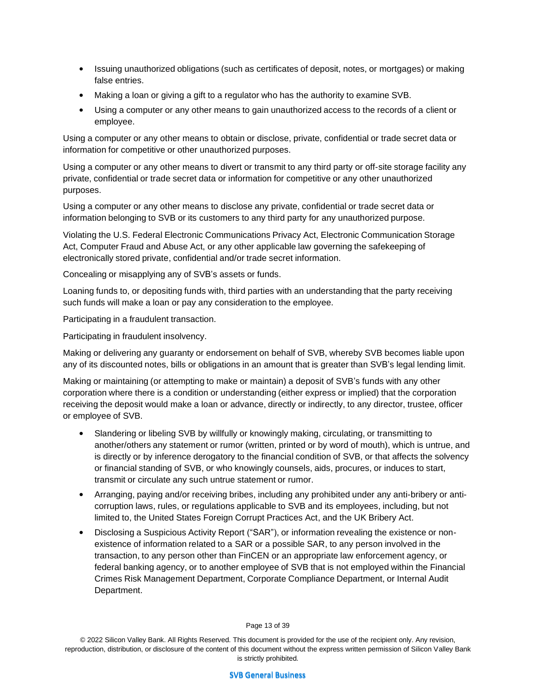- Issuing unauthorized obligations (such as certificates of deposit, notes, or mortgages) or making false entries.
- Making a loan or giving a gift to a regulator who has the authority to examine SVB.
- Using a computer or any other means to gain unauthorized access to the records of a client or employee.

Using a computer or any other means to obtain or disclose, private, confidential or trade secret data or information for competitive or other unauthorized purposes.

Using a computer or any other means to divert or transmit to any third party or off-site storage facility any private, confidential or trade secret data or information for competitive or any other unauthorized purposes.

Using a computer or any other means to disclose any private, confidential or trade secret data or information belonging to SVB or its customers to any third party for any unauthorized purpose.

Violating the U.S. Federal Electronic Communications Privacy Act, Electronic Communication Storage Act, Computer Fraud and Abuse Act, or any other applicable law governing the safekeeping of electronically stored private, confidential and/or trade secret information.

Concealing or misapplying any of SVB's assets or funds.

Loaning funds to, or depositing funds with, third parties with an understanding that the party receiving such funds will make a loan or pay any consideration to the employee.

Participating in a fraudulent transaction.

Participating in fraudulent insolvency.

Making or delivering any guaranty or endorsement on behalf of SVB, whereby SVB becomes liable upon any of its discounted notes, bills or obligations in an amount that is greater than SVB's legal lending limit.

Making or maintaining (or attempting to make or maintain) a deposit of SVB's funds with any other corporation where there is a condition or understanding (either express or implied) that the corporation receiving the deposit would make a loan or advance, directly or indirectly, to any director, trustee, officer or employee of SVB.

- Slandering or libeling SVB by willfully or knowingly making, circulating, or transmitting to another/others any statement or rumor (written, printed or by word of mouth), which is untrue, and is directly or by inference derogatory to the financial condition of SVB, or that affects the solvency or financial standing of SVB, or who knowingly counsels, aids, procures, or induces to start, transmit or circulate any such untrue statement or rumor.
- Arranging, paying and/or receiving bribes, including any prohibited under any anti-bribery or anticorruption laws, rules, or regulations applicable to SVB and its employees, including, but not limited to, the United States Foreign Corrupt Practices Act, and the UK Bribery Act.
- Disclosing a Suspicious Activity Report ("SAR"), or information revealing the existence or nonexistence of information related to a SAR or a possible SAR, to any person involved in the transaction, to any person other than FinCEN or an appropriate law enforcement agency, or federal banking agency, or to another employee of SVB that is not employed within the Financial Crimes Risk Management Department, Corporate Compliance Department, or Internal Audit Department.

Page 13 of 39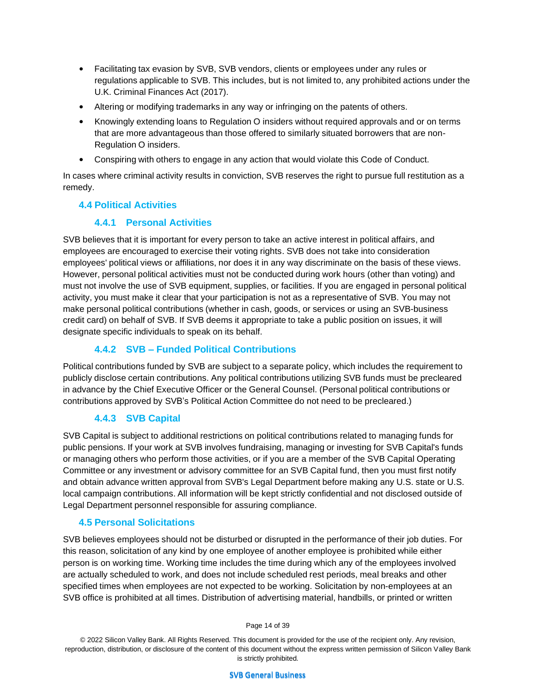- Facilitating tax evasion by SVB, SVB vendors, clients or employees under any rules or regulations applicable to SVB. This includes, but is not limited to, any prohibited actions under the U.K. Criminal Finances Act (2017).
- Altering or modifying trademarks in any way or infringing on the patents of others.
- Knowingly extending loans to Regulation O insiders without required approvals and or on terms that are more advantageous than those offered to similarly situated borrowers that are non-Regulation O insiders.
- Conspiring with others to engage in any action that would violate this Code of Conduct.

In cases where criminal activity results in conviction, SVB reserves the right to pursue full restitution as a remedy.

# **4.4 Political Activities**

# **4.4.1 Personal Activities**

SVB believes that it is important for every person to take an active interest in political affairs, and employees are encouraged to exercise their voting rights. SVB does not take into consideration employees' political views or affiliations, nor does it in any way discriminate on the basis of these views. However, personal political activities must not be conducted during work hours (other than voting) and must not involve the use of SVB equipment, supplies, or facilities. If you are engaged in personal political activity, you must make it clear that your participation is not as a representative of SVB. You may not make personal political contributions (whether in cash, goods, or services or using an SVB-business credit card) on behalf of SVB. If SVB deems it appropriate to take a public position on issues, it will designate specific individuals to speak on its behalf.

# **4.4.2 SVB – Funded Political Contributions**

Political contributions funded by SVB are subject to a separate policy, which includes the requirement to publicly disclose certain contributions. Any political contributions utilizing SVB funds must be precleared in advance by the Chief Executive Officer or the General Counsel. (Personal political contributions or contributions approved by SVB's Political Action Committee do not need to be precleared.)

# **4.4.3 SVB Capital**

SVB Capital is subject to additional restrictions on political contributions related to managing funds for public pensions. If your work at SVB involves fundraising, managing or investing for SVB Capital's funds or managing others who perform those activities, or if you are a member of the SVB Capital Operating Committee or any investment or advisory committee for an SVB Capital fund, then you must first notify and obtain advance written approval from SVB's Legal Department before making any U.S. state or U.S. local campaign contributions. All information will be kept strictly confidential and not disclosed outside of Legal Department personnel responsible for assuring compliance.

## **4.5 Personal Solicitations**

SVB believes employees should not be disturbed or disrupted in the performance of their job duties. For this reason, solicitation of any kind by one employee of another employee is prohibited while either person is on working time. Working time includes the time during which any of the employees involved are actually scheduled to work, and does not include scheduled rest periods, meal breaks and other specified times when employees are not expected to be working. Solicitation by non-employees at an SVB office is prohibited at all times. Distribution of advertising material, handbills, or printed or written

Page 14 of 39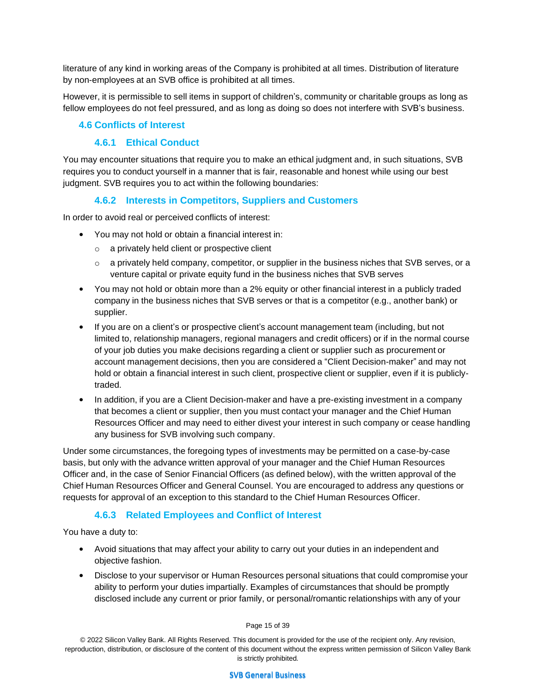literature of any kind in working areas of the Company is prohibited at all times. Distribution of literature by non-employees at an SVB office is prohibited at all times.

However, it is permissible to sell items in support of children's, community or charitable groups as long as fellow employees do not feel pressured, and as long as doing so does not interfere with SVB's business.

### **4.6 Conflicts of Interest**

### **4.6.1 Ethical Conduct**

You may encounter situations that require you to make an ethical judgment and, in such situations, SVB requires you to conduct yourself in a manner that is fair, reasonable and honest while using our best judgment. SVB requires you to act within the following boundaries:

## **4.6.2 Interests in Competitors, Suppliers and Customers**

In order to avoid real or perceived conflicts of interest:

- You may not hold or obtain a financial interest in:
	- o a privately held client or prospective client
	- $\circ$  a privately held company, competitor, or supplier in the business niches that SVB serves, or a venture capital or private equity fund in the business niches that SVB serves
- You may not hold or obtain more than a 2% equity or other financial interest in a publicly traded company in the business niches that SVB serves or that is a competitor (e.g., another bank) or supplier.
- If you are on a client's or prospective client's account management team (including, but not limited to, relationship managers, regional managers and credit officers) or if in the normal course of your job duties you make decisions regarding a client or supplier such as procurement or account management decisions, then you are considered a "Client Decision-maker" and may not hold or obtain a financial interest in such client, prospective client or supplier, even if it is publiclytraded.
- In addition, if you are a Client Decision-maker and have a pre-existing investment in a company that becomes a client or supplier, then you must contact your manager and the Chief Human Resources Officer and may need to either divest your interest in such company or cease handling any business for SVB involving such company.

Under some circumstances, the foregoing types of investments may be permitted on a case-by-case basis, but only with the advance written approval of your manager and the Chief Human Resources Officer and, in the case of Senior Financial Officers (as defined below), with the written approval of the Chief Human Resources Officer and General Counsel. You are encouraged to address any questions or requests for approval of an exception to this standard to the Chief Human Resources Officer.

## **4.6.3 Related Employees and Conflict of Interest**

You have a duty to:

- Avoid situations that may affect your ability to carry out your duties in an independent and objective fashion.
- Disclose to your supervisor or Human Resources personal situations that could compromise your ability to perform your duties impartially. Examples of circumstances that should be promptly disclosed include any current or prior family, or personal/romantic relationships with any of your

#### Page 15 of 39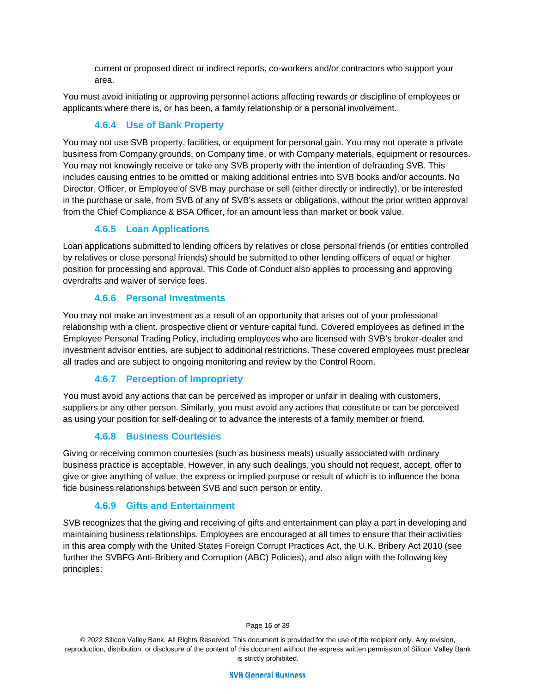current or proposed direct or indirect reports, co-workers and/or contractors who support your area.

You must avoid initiating or approving personnel actions affecting rewards or discipline of employees or applicants where there is, or has been, a family relationship or a personal involvement.

# **4.6.4 Use of Bank Property**

You may not use SVB property, facilities, or equipment for personal gain. You may not operate a private business from Company grounds, on Company time, or with Company materials, equipment or resources. You may not knowingly receive or take any SVB property with the intention of defrauding SVB. This includes causing entries to be omitted or making additional entries into SVB books and/or accounts. No Director, Officer, or Employee of SVB may purchase or sell (either directly or indirectly), or be interested in the purchase or sale, from SVB of any of SVB's assets or obligations, without the prior written approval from the Chief Compliance & BSA Officer, for an amount less than market or book value.

# **4.6.5 Loan Applications**

Loan applications submitted to lending officers by relatives or close personal friends (or entities controlled by relatives or close personal friends) should be submitted to other lending officers of equal or higher position for processing and approval. This Code of Conduct also applies to processing and approving overdrafts and waiver of service fees.

# **4.6.6 Personal Investments**

You may not make an investment as a result of an opportunity that arises out of your professional relationship with a client, prospective client or venture capital fund. Covered employees as defined in the Employee Personal Trading Policy, including employees who are licensed with SVB's broker-dealer and investment advisor entities, are subject to additional restrictions. These covered employees must preclear all trades and are subject to ongoing monitoring and review by the Control Room.

# **4.6.7 Perception of Impropriety**

You must avoid any actions that can be perceived as improper or unfair in dealing with customers, suppliers or any other person. Similarly, you must avoid any actions that constitute or can be perceived as using your position for self-dealing or to advance the interests of a family member or friend.

## **4.6.8 Business Courtesies**

Giving or receiving common courtesies (such as business meals) usually associated with ordinary business practice is acceptable. However, in any such dealings, you should not request, accept, offer to give or give anything of value, the express or implied purpose or result of which is to influence the bona fide business relationships between SVB and such person or entity.

# **4.6.9 Gifts and Entertainment**

SVB recognizes that the giving and receiving of gifts and entertainment can play a part in developing and maintaining business relationships. Employees are encouraged at all times to ensure that their activities in this area comply with the United States Foreign Corrupt Practices Act, the U.K. Bribery Act 2010 (see further the SVBFG Anti-Bribery and Corruption (ABC) Policies), and also align with the following key principles:

Page 16 of 39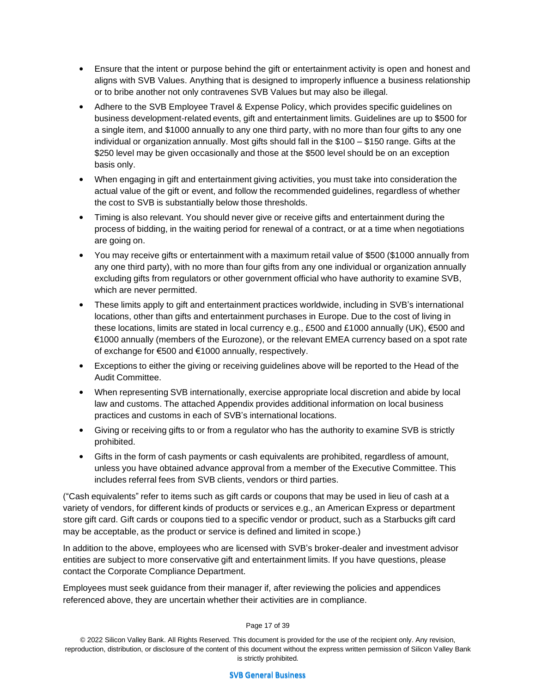- Ensure that the intent or purpose behind the gift or entertainment activity is open and honest and aligns with SVB Values. Anything that is designed to improperly influence a business relationship or to bribe another not only contravenes SVB Values but may also be illegal.
- Adhere to the SVB Employee Travel & Expense Policy, which provides specific guidelines on business development-related events, gift and entertainment limits. Guidelines are up to \$500 for a single item, and \$1000 annually to any one third party, with no more than four gifts to any one individual or organization annually. Most gifts should fall in the \$100 – \$150 range. Gifts at the \$250 level may be given occasionally and those at the \$500 level should be on an exception basis only.
- When engaging in gift and entertainment giving activities, you must take into consideration the actual value of the gift or event, and follow the recommended guidelines, regardless of whether the cost to SVB is substantially below those thresholds.
- Timing is also relevant. You should never give or receive gifts and entertainment during the process of bidding, in the waiting period for renewal of a contract, or at a time when negotiations are going on.
- You may receive gifts or entertainment with a maximum retail value of \$500 (\$1000 annually from any one third party), with no more than four gifts from any one individual or organization annually excluding gifts from regulators or other government official who have authority to examine SVB, which are never permitted.
- These limits apply to gift and entertainment practices worldwide, including in SVB's international locations, other than gifts and entertainment purchases in Europe. Due to the cost of living in these locations, limits are stated in local currency e.g., £500 and £1000 annually (UK), €500 and €1000 annually (members of the Eurozone), or the relevant EMEA currency based on a spot rate of exchange for €500 and €1000 annually, respectively.
- Exceptions to either the giving or receiving guidelines above will be reported to the Head of the Audit Committee.
- When representing SVB internationally, exercise appropriate local discretion and abide by local law and customs. The attached Appendix provides additional information on local business practices and customs in each of SVB's international locations.
- Giving or receiving gifts to or from a regulator who has the authority to examine SVB is strictly prohibited.
- Gifts in the form of cash payments or cash equivalents are prohibited, regardless of amount, unless you have obtained advance approval from a member of the Executive Committee. This includes referral fees from SVB clients, vendors or third parties.

("Cash equivalents" refer to items such as gift cards or coupons that may be used in lieu of cash at a variety of vendors, for different kinds of products or services e.g., an American Express or department store gift card. Gift cards or coupons tied to a specific vendor or product, such as a Starbucks gift card may be acceptable, as the product or service is defined and limited in scope.)

In addition to the above, employees who are licensed with SVB's broker-dealer and investment advisor entities are subject to more conservative gift and entertainment limits. If you have questions, please contact the Corporate Compliance Department.

Employees must seek guidance from their manager if, after reviewing the policies and appendices referenced above, they are uncertain whether their activities are in compliance.

#### Page 17 of 39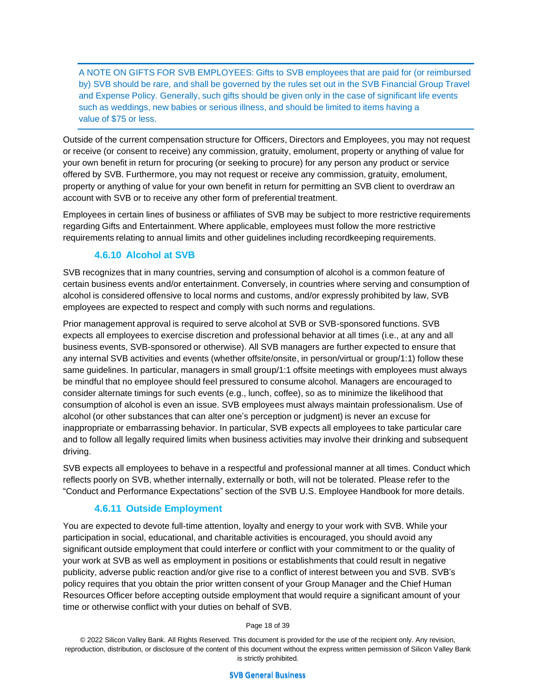A NOTE ON GIFTS FOR SVB EMPLOYEES: Gifts to SVB employees that are paid for (or reimbursed by) SVB should be rare, and shall be governed by the rules set out in the SVB Financial Group Travel and Expense Policy. Generally, such gifts should be given only in the case of significant life events such as weddings, new babies or serious illness, and should be limited to items having a value of \$75 or less.

Outside of the current compensation structure for Officers, Directors and Employees, you may not request or receive (or consent to receive) any commission, gratuity, emolument, property or anything of value for your own benefit in return for procuring (or seeking to procure) for any person any product or service offered by SVB. Furthermore, you may not request or receive any commission, gratuity, emolument, property or anything of value for your own benefit in return for permitting an SVB client to overdraw an account with SVB or to receive any other form of preferential treatment.

Employees in certain lines of business or affiliates of SVB may be subject to more restrictive requirements regarding Gifts and Entertainment. Where applicable, employees must follow the more restrictive requirements relating to annual limits and other guidelines including recordkeeping requirements.

## **4.6.10 Alcohol at SVB**

SVB recognizes that in many countries, serving and consumption of alcohol is a common feature of certain business events and/or entertainment. Conversely, in countries where serving and consumption of alcohol is considered offensive to local norms and customs, and/or expressly prohibited by law, SVB employees are expected to respect and comply with such norms and regulations.

Prior management approval is required to serve alcohol at SVB or SVB-sponsored functions. SVB expects all employees to exercise discretion and professional behavior at all times (i.e., at any and all business events, SVB-sponsored or otherwise). All SVB managers are further expected to ensure that any internal SVB activities and events (whether offsite/onsite, in person/virtual or group/1:1) follow these same guidelines. In particular, managers in small group/1:1 offsite meetings with employees must always be mindful that no employee should feel pressured to consume alcohol. Managers are encouraged to consider alternate timings for such events (e.g., lunch, coffee), so as to minimize the likelihood that consumption of alcohol is even an issue. SVB employees must always maintain professionalism. Use of alcohol (or other substances that can alter one's perception or judgment) is never an excuse for inappropriate or embarrassing behavior. In particular, SVB expects all employees to take particular care and to follow all legally required limits when business activities may involve their drinking and subsequent driving.

SVB expects all employees to behave in a respectful and professional manner at all times. Conduct which reflects poorly on SVB, whether internally, externally or both, will not be tolerated. Please refer to the "Conduct and Performance Expectations" section of the SVB U.S. Employee Handbook for more details.

## **4.6.11 Outside Employment**

You are expected to devote full-time attention, loyalty and energy to your work with SVB. While your participation in social, educational, and charitable activities is encouraged, you should avoid any significant outside employment that could interfere or conflict with your commitment to or the quality of your work at SVB as well as employment in positions or establishments that could result in negative publicity, adverse public reaction and/or give rise to a conflict of interest between you and SVB. SVB's policy requires that you obtain the prior written consent of your Group Manager and the Chief Human Resources Officer before accepting outside employment that would require a significant amount of your time or otherwise conflict with your duties on behalf of SVB.

Page 18 of 39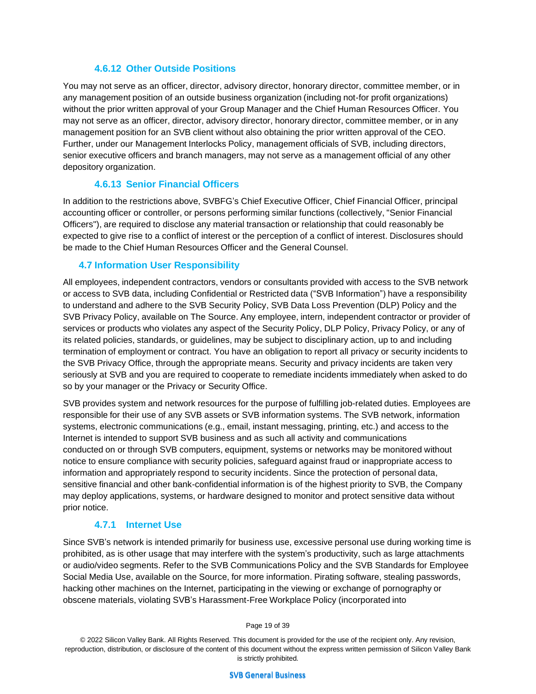#### **4.6.12 Other Outside Positions**

You may not serve as an officer, director, advisory director, honorary director, committee member, or in any management position of an outside business organization (including not-for profit organizations) without the prior written approval of your Group Manager and the Chief Human Resources Officer. You may not serve as an officer, director, advisory director, honorary director, committee member, or in any management position for an SVB client without also obtaining the prior written approval of the CEO. Further, under our Management Interlocks Policy, management officials of SVB, including directors, senior executive officers and branch managers, may not serve as a management official of any other depository organization.

#### **4.6.13 Senior Financial Officers**

In addition to the restrictions above, SVBFG's Chief Executive Officer, Chief Financial Officer, principal accounting officer or controller, or persons performing similar functions (collectively, "Senior Financial Officers"), are required to disclose any material transaction or relationship that could reasonably be expected to give rise to a conflict of interest or the perception of a conflict of interest. Disclosures should be made to the Chief Human Resources Officer and the General Counsel.

#### **4.7 Information User Responsibility**

All employees, independent contractors, vendors or consultants provided with access to the SVB network or access to SVB data, including Confidential or Restricted data ("SVB Information") have a responsibility to understand and adhere to the SVB Security Policy, SVB Data Loss Prevention (DLP) Policy and the SVB Privacy Policy, available on The Source. Any employee, intern, independent contractor or provider of services or products who violates any aspect of the Security Policy, DLP Policy, Privacy Policy, or any of its related policies, standards, or guidelines, may be subject to disciplinary action, up to and including termination of employment or contract. You have an obligation to report all privacy or security incidents to the SVB Privacy Office, through the appropriate means. Security and privacy incidents are taken very seriously at SVB and you are required to cooperate to remediate incidents immediately when asked to do so by your manager or the Privacy or Security Office.

SVB provides system and network resources for the purpose of fulfilling job-related duties. Employees are responsible for their use of any SVB assets or SVB information systems. The SVB network, information systems, electronic communications (e.g., email, instant messaging, printing, etc.) and access to the Internet is intended to support SVB business and as such all activity and communications conducted on or through SVB computers, equipment, systems or networks may be monitored without notice to ensure compliance with security policies, safeguard against fraud or inappropriate access to information and appropriately respond to security incidents. Since the protection of personal data, sensitive financial and other bank-confidential information is of the highest priority to SVB, the Company may deploy applications, systems, or hardware designed to monitor and protect sensitive data without prior notice.

## **4.7.1 Internet Use**

Since SVB's network is intended primarily for business use, excessive personal use during working time is prohibited, as is other usage that may interfere with the system's productivity, such as large attachments or audio/video segments. Refer to the SVB Communications Policy and the SVB Standards for Employee Social Media Use, available on the Source, for more information. Pirating software, stealing passwords, hacking other machines on the Internet, participating in the viewing or exchange of pornography or obscene materials, violating SVB's Harassment-Free Workplace Policy (incorporated into

Page 19 of 39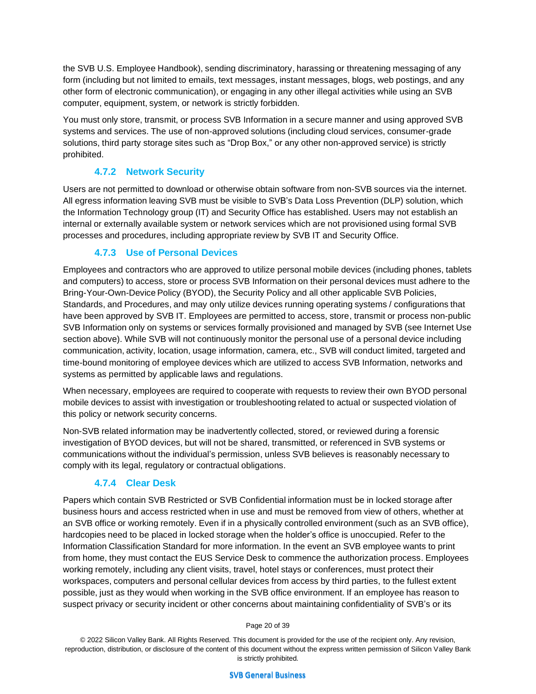the SVB U.S. Employee Handbook), sending discriminatory, harassing or threatening messaging of any form (including but not limited to emails, text messages, instant messages, blogs, web postings, and any other form of electronic communication), or engaging in any other illegal activities while using an SVB computer, equipment, system, or network is strictly forbidden.

You must only store, transmit, or process SVB Information in a secure manner and using approved SVB systems and services. The use of non-approved solutions (including cloud services, consumer-grade solutions, third party storage sites such as "Drop Box," or any other non-approved service) is strictly prohibited.

# **4.7.2 Network Security**

Users are not permitted to download or otherwise obtain software from non-SVB sources via the internet. All egress information leaving SVB must be visible to SVB's Data Loss Prevention (DLP) solution, which the Information Technology group (IT) and Security Office has established. Users may not establish an internal or externally available system or network services which are not provisioned using formal SVB processes and procedures, including appropriate review by SVB IT and Security Office.

# **4.7.3 Use of Personal Devices**

Employees and contractors who are approved to utilize personal mobile devices (including phones, tablets and computers) to access, store or process SVB Information on their personal devices must adhere to the Bring-Your-Own-Device Policy (BYOD), the Security Policy and all other applicable SVB Policies, Standards, and Procedures, and may only utilize devices running operating systems / configurations that have been approved by SVB IT. Employees are permitted to access, store, transmit or process non-public SVB Information only on systems or services formally provisioned and managed by SVB (see Internet Use section above). While SVB will not continuously monitor the personal use of a personal device including communication, activity, location, usage information, camera, etc., SVB will conduct limited, targeted and time-bound monitoring of employee devices which are utilized to access SVB Information, networks and systems as permitted by applicable laws and regulations.

When necessary, employees are required to cooperate with requests to review their own BYOD personal mobile devices to assist with investigation or troubleshooting related to actual or suspected violation of this policy or network security concerns.

Non-SVB related information may be inadvertently collected, stored, or reviewed during a forensic investigation of BYOD devices, but will not be shared, transmitted, or referenced in SVB systems or communications without the individual's permission, unless SVB believes is reasonably necessary to comply with its legal, regulatory or contractual obligations.

# **4.7.4 Clear Desk**

Papers which contain SVB Restricted or SVB Confidential information must be in locked storage after business hours and access restricted when in use and must be removed from view of others, whether at an SVB office or working remotely. Even if in a physically controlled environment (such as an SVB office), hardcopies need to be placed in locked storage when the holder's office is unoccupied. Refer to the Information Classification Standard for more information. In the event an SVB employee wants to print from home, they must contact the EUS Service Desk to commence the authorization process. Employees working remotely, including any client visits, travel, hotel stays or conferences, must protect their workspaces, computers and personal cellular devices from access by third parties, to the fullest extent possible, just as they would when working in the SVB office environment. If an employee has reason to suspect privacy or security incident or other concerns about maintaining confidentiality of SVB's or its

#### Page 20 of 39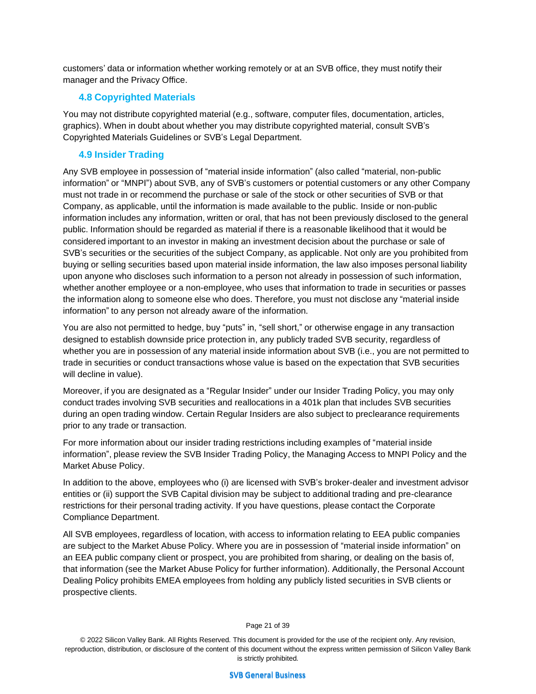customers' data or information whether working remotely or at an SVB office, they must notify their manager and the Privacy Office.

## **4.8 Copyrighted Materials**

You may not distribute copyrighted material (e.g., software, computer files, documentation, articles, graphics). When in doubt about whether you may distribute copyrighted material, consult SVB's Copyrighted Materials Guidelines or SVB's Legal Department.

# **4.9 Insider Trading**

Any SVB employee in possession of "material inside information" (also called "material, non-public information" or "MNPI") about SVB, any of SVB's customers or potential customers or any other Company must not trade in or recommend the purchase or sale of the stock or other securities of SVB or that Company, as applicable, until the information is made available to the public. Inside or non-public information includes any information, written or oral, that has not been previously disclosed to the general public. Information should be regarded as material if there is a reasonable likelihood that it would be considered important to an investor in making an investment decision about the purchase or sale of SVB's securities or the securities of the subject Company, as applicable. Not only are you prohibited from buying or selling securities based upon material inside information, the law also imposes personal liability upon anyone who discloses such information to a person not already in possession of such information, whether another employee or a non-employee, who uses that information to trade in securities or passes the information along to someone else who does. Therefore, you must not disclose any "material inside information" to any person not already aware of the information.

You are also not permitted to hedge, buy "puts" in, "sell short," or otherwise engage in any transaction designed to establish downside price protection in, any publicly traded SVB security, regardless of whether you are in possession of any material inside information about SVB (i.e., you are not permitted to trade in securities or conduct transactions whose value is based on the expectation that SVB securities will decline in value).

Moreover, if you are designated as a "Regular Insider" under our Insider Trading Policy, you may only conduct trades involving SVB securities and reallocations in a 401k plan that includes SVB securities during an open trading window. Certain Regular Insiders are also subject to preclearance requirements prior to any trade or transaction.

For more information about our insider trading restrictions including examples of "material inside information", please review the SVB Insider Trading Policy, the Managing Access to MNPI Policy and the Market Abuse Policy.

In addition to the above, employees who (i) are licensed with SVB's broker-dealer and investment advisor entities or (ii) support the SVB Capital division may be subject to additional trading and pre-clearance restrictions for their personal trading activity. If you have questions, please contact the Corporate Compliance Department.

All SVB employees, regardless of location, with access to information relating to EEA public companies are subject to the Market Abuse Policy. Where you are in possession of "material inside information" on an EEA public company client or prospect, you are prohibited from sharing, or dealing on the basis of, that information (see the Market Abuse Policy for further information). Additionally, the Personal Account Dealing Policy prohibits EMEA employees from holding any publicly listed securities in SVB clients or prospective clients.

#### Page 21 of 39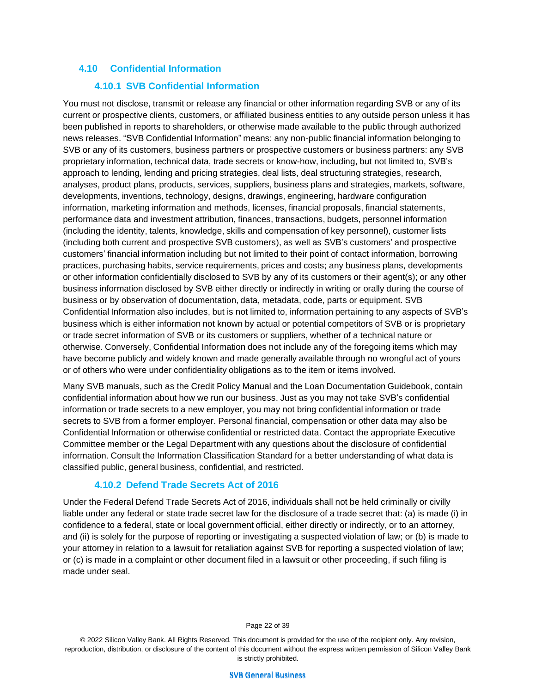## **4.10 Confidential Information**

#### **4.10.1 SVB Confidential Information**

You must not disclose, transmit or release any financial or other information regarding SVB or any of its current or prospective clients, customers, or affiliated business entities to any outside person unless it has been published in reports to shareholders, or otherwise made available to the public through authorized news releases. "SVB Confidential Information" means: any non-public financial information belonging to SVB or any of its customers, business partners or prospective customers or business partners: any SVB proprietary information, technical data, trade secrets or know-how, including, but not limited to, SVB's approach to lending, lending and pricing strategies, deal lists, deal structuring strategies, research, analyses, product plans, products, services, suppliers, business plans and strategies, markets, software, developments, inventions, technology, designs, drawings, engineering, hardware configuration information, marketing information and methods, licenses, financial proposals, financial statements, performance data and investment attribution, finances, transactions, budgets, personnel information (including the identity, talents, knowledge, skills and compensation of key personnel), customer lists (including both current and prospective SVB customers), as well as SVB's customers' and prospective customers' financial information including but not limited to their point of contact information, borrowing practices, purchasing habits, service requirements, prices and costs; any business plans, developments or other information confidentially disclosed to SVB by any of its customers or their agent(s); or any other business information disclosed by SVB either directly or indirectly in writing or orally during the course of business or by observation of documentation, data, metadata, code, parts or equipment. SVB Confidential Information also includes, but is not limited to, information pertaining to any aspects of SVB's business which is either information not known by actual or potential competitors of SVB or is proprietary or trade secret information of SVB or its customers or suppliers, whether of a technical nature or otherwise. Conversely, Confidential Information does not include any of the foregoing items which may have become publicly and widely known and made generally available through no wrongful act of yours or of others who were under confidentiality obligations as to the item or items involved.

Many SVB manuals, such as the Credit Policy Manual and the Loan Documentation Guidebook, contain confidential information about how we run our business. Just as you may not take SVB's confidential information or trade secrets to a new employer, you may not bring confidential information or trade secrets to SVB from a former employer. Personal financial, compensation or other data may also be Confidential Information or otherwise confidential or restricted data. Contact the appropriate Executive Committee member or the Legal Department with any questions about the disclosure of confidential information. Consult the Information Classification Standard for a better understanding of what data is classified public, general business, confidential, and restricted.

#### **4.10.2 Defend Trade Secrets Act of 2016**

Under the Federal Defend Trade Secrets Act of 2016, individuals shall not be held criminally or civilly liable under any federal or state trade secret law for the disclosure of a trade secret that: (a) is made (i) in confidence to a federal, state or local government official, either directly or indirectly, or to an attorney, and (ii) is solely for the purpose of reporting or investigating a suspected violation of law; or (b) is made to your attorney in relation to a lawsuit for retaliation against SVB for reporting a suspected violation of law; or (c) is made in a complaint or other document filed in a lawsuit or other proceeding, if such filing is made under seal.

Page 22 of 39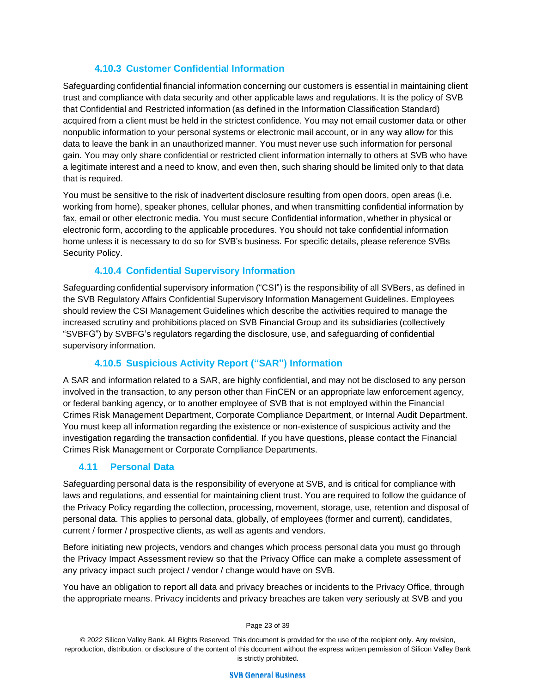# **4.10.3 Customer Confidential Information**

Safeguarding confidential financial information concerning our customers is essential in maintaining client trust and compliance with data security and other applicable laws and regulations. It is the policy of SVB that Confidential and Restricted information (as defined in the Information Classification Standard) acquired from a client must be held in the strictest confidence. You may not email customer data or other nonpublic information to your personal systems or electronic mail account, or in any way allow for this data to leave the bank in an unauthorized manner. You must never use such information for personal gain. You may only share confidential or restricted client information internally to others at SVB who have a legitimate interest and a need to know, and even then, such sharing should be limited only to that data that is required.

You must be sensitive to the risk of inadvertent disclosure resulting from open doors, open areas (i.e. working from home), speaker phones, cellular phones, and when transmitting confidential information by fax, email or other electronic media. You must secure Confidential information, whether in physical or electronic form, according to the applicable procedures. You should not take confidential information home unless it is necessary to do so for SVB's business. For specific details, please reference SVBs Security Policy.

# **4.10.4 Confidential Supervisory Information**

Safeguarding confidential supervisory information ("CSI") is the responsibility of all SVBers, as defined in the SVB Regulatory Affairs Confidential Supervisory Information Management Guidelines. Employees should review the CSI Management Guidelines which describe the activities required to manage the increased scrutiny and prohibitions placed on SVB Financial Group and its subsidiaries (collectively "SVBFG") by SVBFG's regulators regarding the disclosure, use, and safeguarding of confidential supervisory information.

## **4.10.5 Suspicious Activity Report ("SAR") Information**

A SAR and information related to a SAR, are highly confidential, and may not be disclosed to any person involved in the transaction, to any person other than FinCEN or an appropriate law enforcement agency, or federal banking agency, or to another employee of SVB that is not employed within the Financial Crimes Risk Management Department, Corporate Compliance Department, or Internal Audit Department. You must keep all information regarding the existence or non-existence of suspicious activity and the investigation regarding the transaction confidential. If you have questions, please contact the Financial Crimes Risk Management or Corporate Compliance Departments.

## **4.11 Personal Data**

Safeguarding personal data is the responsibility of everyone at SVB, and is critical for compliance with laws and regulations, and essential for maintaining client trust. You are required to follow the guidance of the Privacy Policy regarding the collection, processing, movement, storage, use, retention and disposal of personal data. This applies to personal data, globally, of employees (former and current), candidates, current / former / prospective clients, as well as agents and vendors.

Before initiating new projects, vendors and changes which process personal data you must go through the Privacy Impact Assessment review so that the Privacy Office can make a complete assessment of any privacy impact such project / vendor / change would have on SVB.

You have an obligation to report all data and privacy breaches or incidents to the Privacy Office, through the appropriate means. Privacy incidents and privacy breaches are taken very seriously at SVB and you

#### Page 23 of 39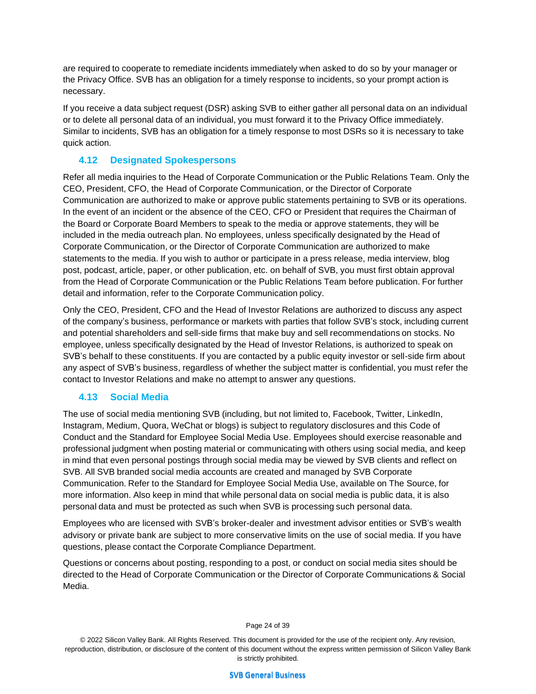are required to cooperate to remediate incidents immediately when asked to do so by your manager or the Privacy Office. SVB has an obligation for a timely response to incidents, so your prompt action is necessary.

If you receive a data subject request (DSR) asking SVB to either gather all personal data on an individual or to delete all personal data of an individual, you must forward it to the Privacy Office immediately. Similar to incidents, SVB has an obligation for a timely response to most DSRs so it is necessary to take quick action.

## **4.12 Designated Spokespersons**

Refer all media inquiries to the Head of Corporate Communication or the Public Relations Team. Only the CEO, President, CFO, the Head of Corporate Communication, or the Director of Corporate Communication are authorized to make or approve public statements pertaining to SVB or its operations. In the event of an incident or the absence of the CEO, CFO or President that requires the Chairman of the Board or Corporate Board Members to speak to the media or approve statements, they will be included in the media outreach plan. No employees, unless specifically designated by the Head of Corporate Communication, or the Director of Corporate Communication are authorized to make statements to the media. If you wish to author or participate in a press release, media interview, blog post, podcast, article, paper, or other publication, etc. on behalf of SVB, you must first obtain approval from the Head of Corporate Communication or the Public Relations Team before publication. For further detail and information, refer to the Corporate Communication policy.

Only the CEO, President, CFO and the Head of Investor Relations are authorized to discuss any aspect of the company's business, performance or markets with parties that follow SVB's stock, including current and potential shareholders and sell-side firms that make buy and sell recommendations on stocks. No employee, unless specifically designated by the Head of Investor Relations, is authorized to speak on SVB's behalf to these constituents. If you are contacted by a public equity investor or sell-side firm about any aspect of SVB's business, regardless of whether the subject matter is confidential, you must refer the contact to Investor Relations and make no attempt to answer any questions.

# **4.13 Social Media**

The use of social media mentioning SVB (including, but not limited to, Facebook, Twitter, LinkedIn, Instagram, Medium, Quora, WeChat or blogs) is subject to regulatory disclosures and this Code of Conduct and the Standard for Employee Social Media Use. Employees should exercise reasonable and professional judgment when posting material or communicating with others using social media, and keep in mind that even personal postings through social media may be viewed by SVB clients and reflect on SVB. All SVB branded social media accounts are created and managed by SVB Corporate Communication. Refer to the Standard for Employee Social Media Use, available on The Source, for more information. Also keep in mind that while personal data on social media is public data, it is also personal data and must be protected as such when SVB is processing such personal data.

Employees who are licensed with SVB's broker-dealer and investment advisor entities or SVB's wealth advisory or private bank are subject to more conservative limits on the use of social media. If you have questions, please contact the Corporate Compliance Department.

Questions or concerns about posting, responding to a post, or conduct on social media sites should be directed to the Head of Corporate Communication or the Director of Corporate Communications & Social Media.

Page 24 of 39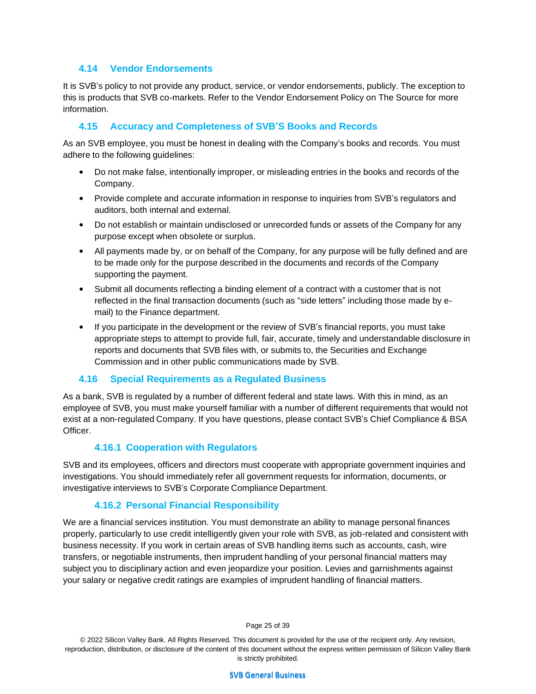#### **4.14 Vendor Endorsements**

It is SVB's policy to not provide any product, service, or vendor endorsements, publicly. The exception to this is products that SVB co-markets. Refer to the Vendor Endorsement Policy on The Source for more information.

## **4.15 Accuracy and Completeness of SVB'S Books and Records**

As an SVB employee, you must be honest in dealing with the Company's books and records. You must adhere to the following guidelines:

- Do not make false, intentionally improper, or misleading entries in the books and records of the Company.
- Provide complete and accurate information in response to inquiries from SVB's regulators and auditors, both internal and external.
- Do not establish or maintain undisclosed or unrecorded funds or assets of the Company for any purpose except when obsolete or surplus.
- All payments made by, or on behalf of the Company, for any purpose will be fully defined and are to be made only for the purpose described in the documents and records of the Company supporting the payment.
- Submit all documents reflecting a binding element of a contract with a customer that is not reflected in the final transaction documents (such as "side letters" including those made by email) to the Finance department.
- If you participate in the development or the review of SVB's financial reports, you must take appropriate steps to attempt to provide full, fair, accurate, timely and understandable disclosure in reports and documents that SVB files with, or submits to, the Securities and Exchange Commission and in other public communications made by SVB.

## **4.16 Special Requirements as a Regulated Business**

As a bank, SVB is regulated by a number of different federal and state laws. With this in mind, as an employee of SVB, you must make yourself familiar with a number of different requirements that would not exist at a non-regulated Company. If you have questions, please contact SVB's Chief Compliance & BSA Officer.

## **4.16.1 Cooperation with Regulators**

SVB and its employees, officers and directors must cooperate with appropriate government inquiries and investigations. You should immediately refer all government requests for information, documents, or investigative interviews to SVB's Corporate Compliance Department.

## **4.16.2 Personal Financial Responsibility**

We are a financial services institution. You must demonstrate an ability to manage personal finances properly, particularly to use credit intelligently given your role with SVB, as job-related and consistent with business necessity. If you work in certain areas of SVB handling items such as accounts, cash, wire transfers, or negotiable instruments, then imprudent handling of your personal financial matters may subject you to disciplinary action and even jeopardize your position. Levies and garnishments against your salary or negative credit ratings are examples of imprudent handling of financial matters.

Page 25 of 39

© 2022 Silicon Valley Bank. All Rights Reserved. This document is provided for the use of the recipient only. Any revision, reproduction, distribution, or disclosure of the content of this document without the express written permission of Silicon Valley Bank is strictly prohibited.

**SVB General Business**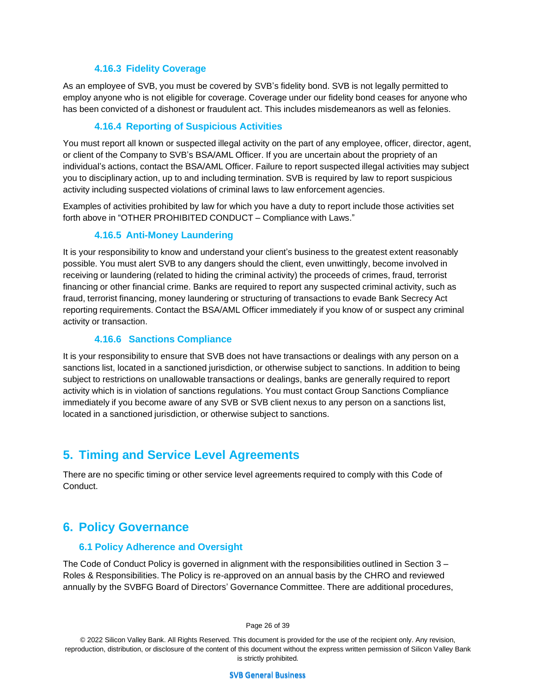#### **4.16.3 Fidelity Coverage**

As an employee of SVB, you must be covered by SVB's fidelity bond. SVB is not legally permitted to employ anyone who is not eligible for coverage. Coverage under our fidelity bond ceases for anyone who has been convicted of a dishonest or fraudulent act. This includes misdemeanors as well as felonies.

### **4.16.4 Reporting of Suspicious Activities**

You must report all known or suspected illegal activity on the part of any employee, officer, director, agent, or client of the Company to SVB's BSA/AML Officer. If you are uncertain about the propriety of an individual's actions, contact the BSA/AML Officer. Failure to report suspected illegal activities may subject you to disciplinary action, up to and including termination. SVB is required by law to report suspicious activity including suspected violations of criminal laws to law enforcement agencies.

Examples of activities prohibited by law for which you have a duty to report include those activities set forth above in "OTHER PROHIBITED CONDUCT – Compliance with Laws."

#### **4.16.5 Anti-Money Laundering**

It is your responsibility to know and understand your client's business to the greatest extent reasonably possible. You must alert SVB to any dangers should the client, even unwittingly, become involved in receiving or laundering (related to hiding the criminal activity) the proceeds of crimes, fraud, terrorist financing or other financial crime. Banks are required to report any suspected criminal activity, such as fraud, terrorist financing, money laundering or structuring of transactions to evade Bank Secrecy Act reporting requirements. Contact the BSA/AML Officer immediately if you know of or suspect any criminal activity or transaction.

#### **4.16.6 Sanctions Compliance**

It is your responsibility to ensure that SVB does not have transactions or dealings with any person on a sanctions list, located in a sanctioned jurisdiction, or otherwise subject to sanctions. In addition to being subject to restrictions on unallowable transactions or dealings, banks are generally required to report activity which is in violation of sanctions regulations. You must contact Group Sanctions Compliance immediately if you become aware of any SVB or SVB client nexus to any person on a sanctions list, located in a sanctioned jurisdiction, or otherwise subject to sanctions.

# **5. Timing and Service Level Agreements**

There are no specific timing or other service level agreements required to comply with this Code of Conduct.

# **6. Policy Governance**

#### **6.1 Policy Adherence and Oversight**

The Code of Conduct Policy is governed in alignment with the responsibilities outlined in Section 3 – Roles & Responsibilities. The Policy is re-approved on an annual basis by the CHRO and reviewed annually by the SVBFG Board of Directors' Governance Committee. There are additional procedures,

Page 26 of 39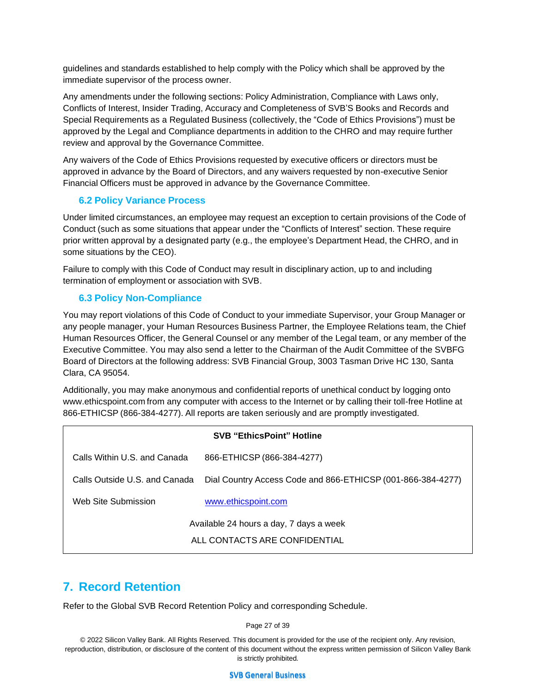guidelines and standards established to help comply with the Policy which shall be approved by the immediate supervisor of the process owner.

Any amendments under the following sections: Policy Administration, Compliance with Laws only, Conflicts of Interest, Insider Trading, Accuracy and Completeness of SVB'S Books and Records and Special Requirements as a Regulated Business (collectively, the "Code of Ethics Provisions") must be approved by the Legal and Compliance departments in addition to the CHRO and may require further review and approval by the Governance Committee.

Any waivers of the Code of Ethics Provisions requested by executive officers or directors must be approved in advance by the Board of Directors, and any waivers requested by non-executive Senior Financial Officers must be approved in advance by the Governance Committee.

## **6.2 Policy Variance Process**

Under limited circumstances, an employee may request an exception to certain provisions of the Code of Conduct (such as some situations that appear under the "Conflicts of Interest" section. These require prior written approval by a designated party (e.g., the employee's Department Head, the CHRO, and in some situations by the CEO).

Failure to comply with this Code of Conduct may result in disciplinary action, up to and including termination of employment or association with SVB.

#### **6.3 Policy Non-Compliance**

You may report violations of this Code of Conduct to your immediate Supervisor, your Group Manager or any people manager, your Human Resources Business Partner, the Employee Relations team, the Chief Human Resources Officer, the General Counsel or any member of the Legal team, or any member of the Executive Committee. You may also send a letter to the Chairman of the Audit Committee of the SVBFG Board of Directors at the following address: SVB Financial Group, 3003 Tasman Drive HC 130, Santa Clara, CA 95054.

Additionally, you may make anonymous and confidential reports of unethical conduct by logging ont[o](http://www.ethicspoint.com/) [www.ethicspoint.com](http://www.ethicspoint.com/) from any computer with access to the Internet or by calling their toll-free Hotline at 866-ETHICSP (866-384-4277). All reports are taken seriously and are promptly investigated.

| <b>SVB "EthicsPoint" Hotline</b>        |                                                             |  |  |  |
|-----------------------------------------|-------------------------------------------------------------|--|--|--|
| Calls Within U.S. and Canada            | 866-ETHICSP (866-384-4277)                                  |  |  |  |
| Calls Outside U.S. and Canada           | Dial Country Access Code and 866-ETHICSP (001-866-384-4277) |  |  |  |
| Web Site Submission                     | www.ethicspoint.com                                         |  |  |  |
| Available 24 hours a day, 7 days a week |                                                             |  |  |  |
| ALL CONTACTS ARE CONFIDENTIAL           |                                                             |  |  |  |

# **7. Record Retention**

Refer to the Global SVB Record Retention Policy and corresponding Schedule.

Page 27 of 39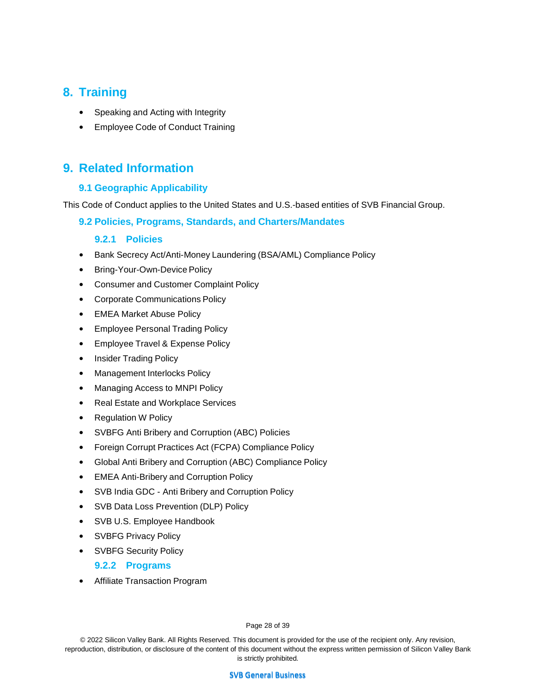# **8. Training**

- Speaking and Acting with Integrity
- Employee Code of Conduct Training

# **9. Related Information**

#### **9.1 Geographic Applicability**

This Code of Conduct applies to the United States and U.S.-based entities of SVB Financial Group.

#### **9.2 Policies, Programs, Standards, and Charters/Mandates**

#### **9.2.1 Policies**

- Bank Secrecy Act/Anti-Money Laundering (BSA/AML) Compliance Policy
- Bring-Your-Own-Device Policy
- Consumer and Customer Complaint Policy
- Corporate Communications Policy
- EMEA Market Abuse Policy
- Employee Personal Trading Policy
- Employee Travel & Expense Policy
- Insider Trading Policy
- Management Interlocks Policy
- Managing Access to MNPI Policy
- Real Estate and Workplace Services
- Regulation W Policy
- SVBFG Anti Bribery and Corruption (ABC) Policies
- Foreign Corrupt Practices Act (FCPA) Compliance Policy
- Global Anti Bribery and Corruption (ABC) Compliance Policy
- EMEA Anti-Bribery and Corruption Policy
- SVB India GDC Anti Bribery and Corruption Policy
- SVB Data Loss Prevention (DLP) Policy
- SVB U.S. Employee Handbook
- SVBFG Privacy Policy
- SVBFG Security Policy

#### **9.2.2 Programs**

• Affiliate Transaction Program

Page 28 of 39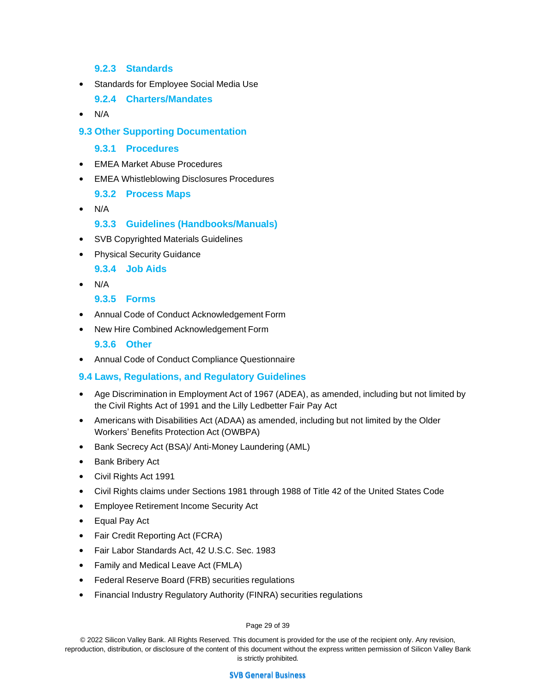#### **9.2.3 Standards**

- Standards for Employee Social Media Use
	- **9.2.4 Charters/Mandates**
- N/A

#### **9.3 Other Supporting Documentation**

#### **9.3.1 Procedures**

- EMEA Market Abuse Procedures
- EMEA Whistleblowing Disclosures Procedures
	- **9.3.2 Process Maps**
- N/A

## **9.3.3 Guidelines (Handbooks/Manuals)**

- SVB Copyrighted Materials Guidelines
- Physical Security Guidance

**9.3.4 Job Aids**

• N/A

**9.3.5 Forms**

- Annual Code of Conduct Acknowledgement Form
- New Hire Combined Acknowledgement Form

#### **9.3.6 Other**

• Annual Code of Conduct Compliance Questionnaire

## **9.4 Laws, Regulations, and Regulatory Guidelines**

- Age Discrimination in Employment Act of 1967 (ADEA), as amended, including but not limited by the Civil Rights Act of 1991 and the Lilly Ledbetter Fair Pay Act
- Americans with Disabilities Act (ADAA) as amended, including but not limited by the Older Workers' Benefits Protection Act (OWBPA)
- Bank Secrecy Act (BSA)/ Anti-Money Laundering (AML)
- Bank Bribery Act
- Civil Rights Act 1991
- Civil Rights claims under Sections 1981 through 1988 of Title 42 of the United States Code
- Employee Retirement Income Security Act
- Equal Pay Act
- Fair Credit Reporting Act (FCRA)
- Fair Labor Standards Act, 42 U.S.C. Sec. 1983
- Family and Medical Leave Act (FMLA)
- Federal Reserve Board (FRB) securities regulations
- Financial Industry Regulatory Authority (FINRA) securities regulations

#### Page 29 of 39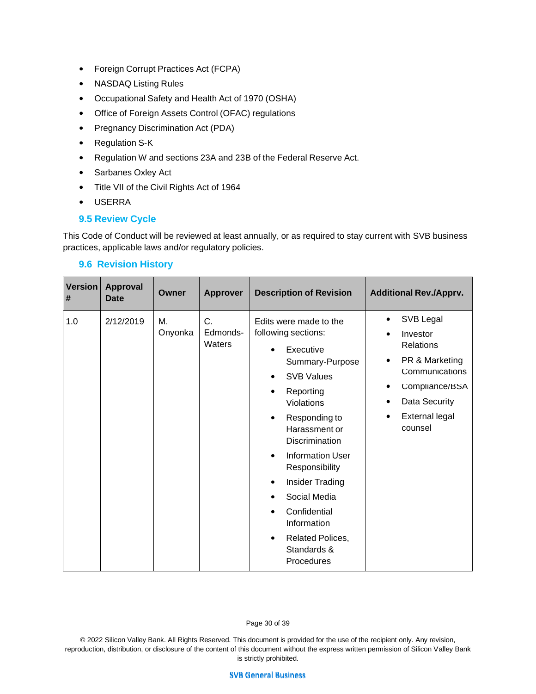- Foreign Corrupt Practices Act (FCPA)
- NASDAQ Listing Rules
- Occupational Safety and Health Act of 1970 (OSHA)
- Office of Foreign Assets Control (OFAC) regulations
- Pregnancy Discrimination Act (PDA)
- Regulation S-K
- Regulation W and sections 23A and 23B of the Federal Reserve Act.
- Sarbanes Oxley Act
- Title VII of the Civil Rights Act of 1964
- USERRA

## **9.5 Review Cycle**

This Code of Conduct will be reviewed at least annually, or as required to stay current with SVB business practices, applicable laws and/or regulatory policies.

#### **9.6 Revision History**

| <b>Version</b><br># | <b>Approval</b><br>Date | Owner         | <b>Approver</b>          | <b>Description of Revision</b>                                                                                                                                                                                                                                                                                                                                                                    | <b>Additional Rev./Apprv.</b>                                                                                                                                                    |
|---------------------|-------------------------|---------------|--------------------------|---------------------------------------------------------------------------------------------------------------------------------------------------------------------------------------------------------------------------------------------------------------------------------------------------------------------------------------------------------------------------------------------------|----------------------------------------------------------------------------------------------------------------------------------------------------------------------------------|
| 1.0                 | 2/12/2019               | Μ.<br>Onyonka | C.<br>Edmonds-<br>Waters | Edits were made to the<br>following sections:<br>Executive<br>Summary-Purpose<br><b>SVB Values</b><br>Reporting<br>٠<br>Violations<br>Responding to<br>٠<br>Harassment or<br>Discrimination<br><b>Information User</b><br>$\bullet$<br>Responsibility<br><b>Insider Trading</b><br>$\bullet$<br>Social Media<br>٠<br>Confidential<br>Information<br>Related Polices,<br>Standards &<br>Procedures | SVB Legal<br>Investor<br>$\bullet$<br><b>Relations</b><br>PR & Marketing<br>٠<br>Communications<br>Compliance/BSA<br>٠<br>Data Security<br>٠<br><b>External legal</b><br>counsel |

Page 30 of 39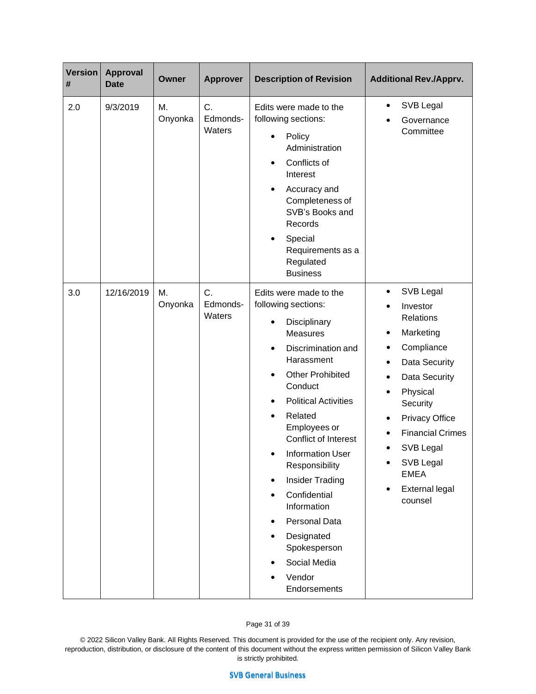| <b>Version</b><br># | <b>Approval</b><br><b>Date</b> | Owner         | <b>Approver</b>          | <b>Description of Revision</b>                                                                                                                                                                                                                                                                                                                                                                                                                                                                  | <b>Additional Rev./Apprv.</b>                                                                                                                                                                                                                                                                                                                                              |
|---------------------|--------------------------------|---------------|--------------------------|-------------------------------------------------------------------------------------------------------------------------------------------------------------------------------------------------------------------------------------------------------------------------------------------------------------------------------------------------------------------------------------------------------------------------------------------------------------------------------------------------|----------------------------------------------------------------------------------------------------------------------------------------------------------------------------------------------------------------------------------------------------------------------------------------------------------------------------------------------------------------------------|
| 2.0                 | 9/3/2019                       | M.<br>Onyonka | C.<br>Edmonds-<br>Waters | Edits were made to the<br>following sections:<br>Policy<br>٠<br>Administration<br>Conflicts of<br>Interest<br>Accuracy and<br>٠<br>Completeness of<br>SVB's Books and<br>Records<br>Special<br>$\bullet$<br>Requirements as a<br>Regulated<br><b>Business</b>                                                                                                                                                                                                                                   | SVB Legal<br>٠<br>Governance<br>Committee                                                                                                                                                                                                                                                                                                                                  |
| 3.0                 | 12/16/2019                     | Μ.<br>Onyonka | C.<br>Edmonds-<br>Waters | Edits were made to the<br>following sections:<br>Disciplinary<br>$\bullet$<br><b>Measures</b><br>Discrimination and<br>$\bullet$<br>Harassment<br><b>Other Prohibited</b><br>$\bullet$<br>Conduct<br><b>Political Activities</b><br>Related<br>Employees or<br>Conflict of Interest<br><b>Information User</b><br>Responsibility<br><b>Insider Trading</b><br>$\bullet$<br>Confidential<br>Information<br>Personal Data<br>Designated<br>Spokesperson<br>Social Media<br>Vendor<br>Endorsements | SVB Legal<br>٠<br>Investor<br>$\bullet$<br>Relations<br>Marketing<br>$\bullet$<br>Compliance<br>$\bullet$<br>Data Security<br>$\bullet$<br>Data Security<br>$\bullet$<br>Physical<br>$\bullet$<br>Security<br><b>Privacy Office</b><br>٠<br><b>Financial Crimes</b><br>$\bullet$<br>SVB Legal<br>$\bullet$<br>SVB Legal<br><b>EMEA</b><br><b>External legal</b><br>counsel |

Page 31 of 39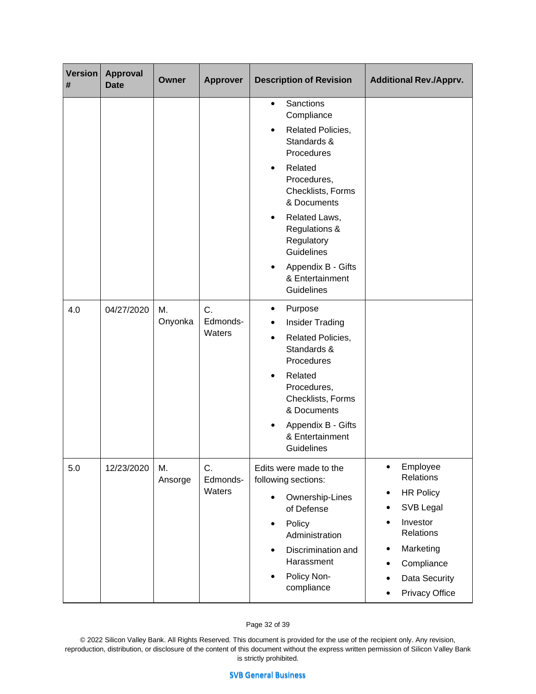| <b>Version</b><br># | <b>Approval</b><br>Date | Owner         | <b>Approver</b>          | <b>Description of Revision</b>                                                                                                                                                                                                                                                                                              | <b>Additional Rev./Apprv.</b>                                                                                                                                                                    |
|---------------------|-------------------------|---------------|--------------------------|-----------------------------------------------------------------------------------------------------------------------------------------------------------------------------------------------------------------------------------------------------------------------------------------------------------------------------|--------------------------------------------------------------------------------------------------------------------------------------------------------------------------------------------------|
| 4.0                 | 04/27/2020              | Μ.<br>Onyonka | C.<br>Edmonds-           | Sanctions<br>$\bullet$<br>Compliance<br>Related Policies,<br>$\bullet$<br>Standards &<br>Procedures<br>Related<br>$\bullet$<br>Procedures,<br>Checklists, Forms<br>& Documents<br>Related Laws,<br>Regulations &<br>Regulatory<br>Guidelines<br>Appendix B - Gifts<br>& Entertainment<br>Guidelines<br>Purpose<br>$\bullet$ |                                                                                                                                                                                                  |
|                     |                         |               | Waters                   | <b>Insider Trading</b><br>$\bullet$<br>Related Policies,<br>$\bullet$<br>Standards &<br>Procedures<br>Related<br>$\bullet$<br>Procedures,<br>Checklists, Forms<br>& Documents<br>Appendix B - Gifts<br>& Entertainment<br>Guidelines                                                                                        |                                                                                                                                                                                                  |
| 5.0                 | 12/23/2020              | М.<br>Ansorge | C.<br>Edmonds-<br>Waters | Edits were made to the<br>following sections:<br>Ownership-Lines<br>$\bullet$<br>of Defense<br>Policy<br>$\bullet$<br>Administration<br>Discrimination and<br>$\bullet$<br>Harassment<br>Policy Non-<br>$\bullet$<br>compliance                                                                                             | Employee<br>$\bullet$<br>Relations<br><b>HR Policy</b><br>$\bullet$<br>SVB Legal<br>$\bullet$<br>Investor<br>Relations<br>Marketing<br>٠<br>Compliance<br>Data Security<br><b>Privacy Office</b> |

#### Page 32 of 39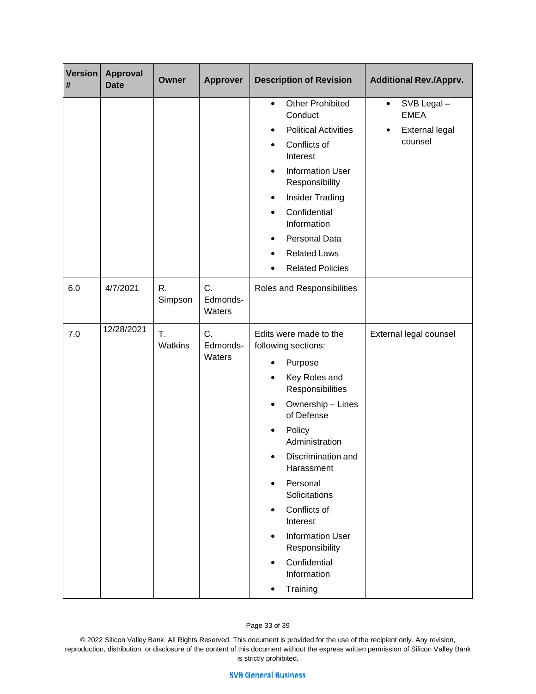| <b>Version</b><br># | <b>Approval</b><br><b>Date</b> | Owner         | <b>Approver</b>          | <b>Description of Revision</b>                                                                                                                                                                                                                                                                                                                                                           | <b>Additional Rev./Apprv.</b>                                                           |
|---------------------|--------------------------------|---------------|--------------------------|------------------------------------------------------------------------------------------------------------------------------------------------------------------------------------------------------------------------------------------------------------------------------------------------------------------------------------------------------------------------------------------|-----------------------------------------------------------------------------------------|
|                     |                                |               |                          | <b>Other Prohibited</b><br>$\bullet$<br>Conduct<br><b>Political Activities</b><br>٠<br>Conflicts of<br>Interest<br><b>Information User</b><br>$\bullet$<br>Responsibility<br><b>Insider Trading</b><br>$\bullet$<br>Confidential<br>$\bullet$<br>Information<br>Personal Data<br><b>Related Laws</b><br>$\bullet$<br><b>Related Policies</b>                                             | SVB Legal-<br>$\bullet$<br><b>EMEA</b><br><b>External legal</b><br>$\bullet$<br>counsel |
| 6.0                 | 4/7/2021                       | R.<br>Simpson | C.<br>Edmonds-<br>Waters | Roles and Responsibilities                                                                                                                                                                                                                                                                                                                                                               |                                                                                         |
| 7.0                 | 12/28/2021                     | T.<br>Watkins | C.<br>Edmonds-<br>Waters | Edits were made to the<br>following sections:<br>Purpose<br>Key Roles and<br>$\bullet$<br>Responsibilities<br>Ownership - Lines<br>of Defense<br>Policy<br>Administration<br>Discrimination and<br>Harassment<br>Personal<br>$\bullet$<br>Solicitations<br>Conflicts of<br>Interest<br><b>Information User</b><br>$\bullet$<br>Responsibility<br>Confidential<br>Information<br>Training | External legal counsel                                                                  |

#### Page 33 of 39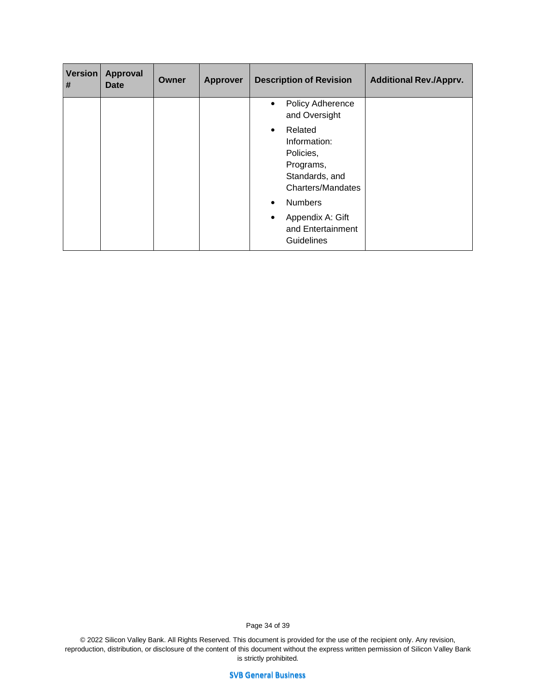| <b>Version</b><br># | <b>Approval</b><br><b>Date</b> | Owner | <b>Approver</b> | <b>Description of Revision</b>                                                                               | <b>Additional Rev./Apprv.</b> |
|---------------------|--------------------------------|-------|-----------------|--------------------------------------------------------------------------------------------------------------|-------------------------------|
|                     |                                |       |                 | Policy Adherence<br>$\bullet$<br>and Oversight                                                               |                               |
|                     |                                |       |                 | Related<br>$\bullet$<br>Information:<br>Policies,<br>Programs,<br>Standards, and<br><b>Charters/Mandates</b> |                               |
|                     |                                |       |                 | <b>Numbers</b><br>$\bullet$                                                                                  |                               |
|                     |                                |       |                 | Appendix A: Gift<br>$\bullet$<br>and Entertainment<br><b>Guidelines</b>                                      |                               |

Page 34 of 39

© 2022 Silicon Valley Bank. All Rights Reserved. This document is provided for the use of the recipient only. Any revision, reproduction, distribution, or disclosure of the content of this document without the express written permission of Silicon Valley Bank is strictly prohibited.

**SVB General Business**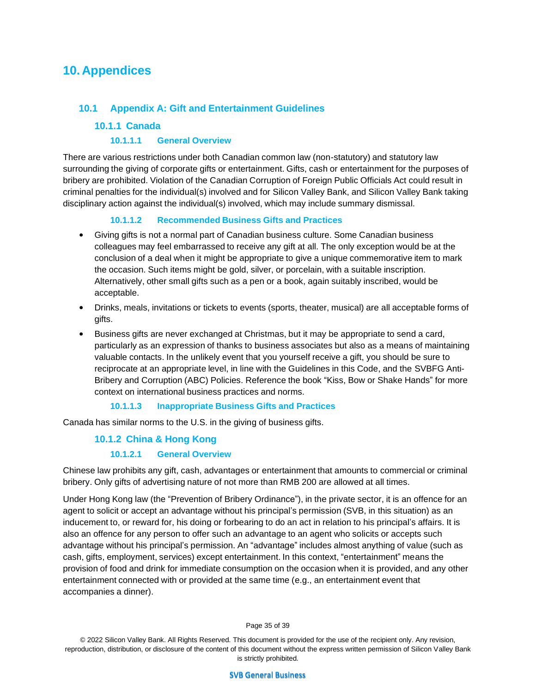# **10. Appendices**

## **10.1 Appendix A: Gift and Entertainment Guidelines**

### **10.1.1 Canada**

#### **10.1.1.1 General Overview**

There are various restrictions under both Canadian common law (non-statutory) and statutory law surrounding the giving of corporate gifts or entertainment. Gifts, cash or entertainment for the purposes of bribery are prohibited. Violation of the Canadian Corruption of Foreign Public Officials Act could result in criminal penalties for the individual(s) involved and for Silicon Valley Bank, and Silicon Valley Bank taking disciplinary action against the individual(s) involved, which may include summary dismissal.

#### **10.1.1.2 Recommended Business Gifts and Practices**

- Giving gifts is not a normal part of Canadian business culture. Some Canadian business colleagues may feel embarrassed to receive any gift at all. The only exception would be at the conclusion of a deal when it might be appropriate to give a unique commemorative item to mark the occasion. Such items might be gold, silver, or porcelain, with a suitable inscription. Alternatively, other small gifts such as a pen or a book, again suitably inscribed, would be acceptable.
- Drinks, meals, invitations or tickets to events (sports, theater, musical) are all acceptable forms of gifts.
- Business gifts are never exchanged at Christmas, but it may be appropriate to send a card, particularly as an expression of thanks to business associates but also as a means of maintaining valuable contacts. In the unlikely event that you yourself receive a gift, you should be sure to reciprocate at an appropriate level, in line with the Guidelines in this Code, and the SVBFG Anti-Bribery and Corruption (ABC) Policies. Reference the book "Kiss, Bow or Shake Hands" for more context on international business practices and norms.

#### **10.1.1.3 Inappropriate Business Gifts and Practices**

Canada has similar norms to the U.S. in the giving of business gifts.

#### **10.1.2 China & Hong Kong**

#### **10.1.2.1 General Overview**

Chinese law prohibits any gift, cash, advantages or entertainment that amounts to commercial or criminal bribery. Only gifts of advertising nature of not more than RMB 200 are allowed at all times.

Under Hong Kong law (the "Prevention of Bribery Ordinance"), in the private sector, it is an offence for an agent to solicit or accept an advantage without his principal's permission (SVB, in this situation) as an inducement to, or reward for, his doing or forbearing to do an act in relation to his principal's affairs. It is also an offence for any person to offer such an advantage to an agent who solicits or accepts such advantage without his principal's permission. An "advantage" includes almost anything of value (such as cash, gifts, employment, services) except entertainment. In this context, "entertainment" means the provision of food and drink for immediate consumption on the occasion when it is provided, and any other entertainment connected with or provided at the same time (e.g., an entertainment event that accompanies a dinner).

Page 35 of 39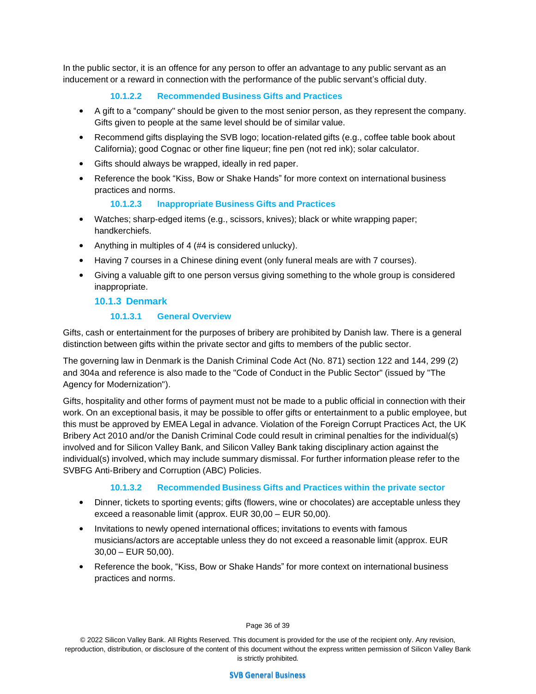In the public sector, it is an offence for any person to offer an advantage to any public servant as an inducement or a reward in connection with the performance of the public servant's official duty.

# **10.1.2.2 Recommended Business Gifts and Practices**

- A gift to a "company" should be given to the most senior person, as they represent the company. Gifts given to people at the same level should be of similar value.
- Recommend gifts displaying the SVB logo; location-related gifts (e.g., coffee table book about California); good Cognac or other fine liqueur; fine pen (not red ink); solar calculator.
- Gifts should always be wrapped, ideally in red paper.
- Reference the book "Kiss, Bow or Shake Hands" for more context on international business practices and norms.

#### **10.1.2.3 Inappropriate Business Gifts and Practices**

- Watches; sharp-edged items (e.g., scissors, knives); black or white wrapping paper; handkerchiefs.
- Anything in multiples of 4 (#4 is considered unlucky).
- Having 7 courses in a Chinese dining event (only funeral meals are with 7 courses).
- Giving a valuable gift to one person versus giving something to the whole group is considered inappropriate.

#### **10.1.3 Denmark**

#### **10.1.3.1 General Overview**

Gifts, cash or entertainment for the purposes of bribery are prohibited by Danish law. There is a general distinction between gifts within the private sector and gifts to members of the public sector.

The governing law in Denmark is the Danish Criminal Code Act (No. 871) section 122 and 144, 299 (2) and 304a and reference is also made to the "Code of Conduct in the Public Sector" (issued by "The Agency for Modernization").

Gifts, hospitality and other forms of payment must not be made to a public official in connection with their work. On an exceptional basis, it may be possible to offer gifts or entertainment to a public employee, but this must be approved by EMEA Legal in advance. Violation of the Foreign Corrupt Practices Act, the UK Bribery Act 2010 and/or the Danish Criminal Code could result in criminal penalties for the individual(s) involved and for Silicon Valley Bank, and Silicon Valley Bank taking disciplinary action against the individual(s) involved, which may include summary dismissal. For further information please refer to the SVBFG Anti-Bribery and Corruption (ABC) Policies.

#### **10.1.3.2 Recommended Business Gifts and Practices within the private sector**

- Dinner, tickets to sporting events; gifts (flowers, wine or chocolates) are acceptable unless they exceed a reasonable limit (approx. EUR 30,00 – EUR 50,00).
- Invitations to newly opened international offices; invitations to events with famous musicians/actors are acceptable unless they do not exceed a reasonable limit (approx. EUR 30,00 – EUR 50,00).
- Reference the book, "Kiss, Bow or Shake Hands" for more context on international business practices and norms.

Page 36 of 39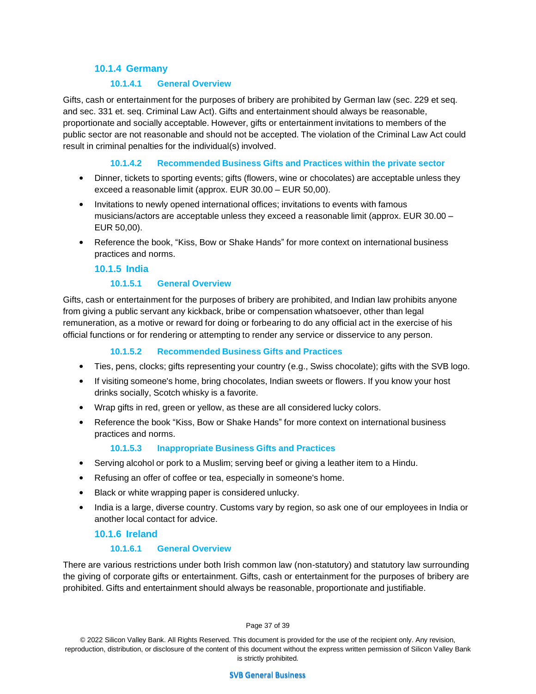#### **10.1.4 Germany**

#### **10.1.4.1 General Overview**

Gifts, cash or entertainment for the purposes of bribery are prohibited by German law (sec. 229 et seq. and sec. 331 et. seq. Criminal Law Act). Gifts and entertainment should always be reasonable, proportionate and socially acceptable. However, gifts or entertainment invitations to members of the public sector are not reasonable and should not be accepted. The violation of the Criminal Law Act could result in criminal penalties for the individual(s) involved.

#### **10.1.4.2 Recommended Business Gifts and Practices within the private sector**

- Dinner, tickets to sporting events; gifts (flowers, wine or chocolates) are acceptable unless they exceed a reasonable limit (approx. EUR 30.00 – EUR 50,00).
- Invitations to newly opened international offices; invitations to events with famous musicians/actors are acceptable unless they exceed a reasonable limit (approx. EUR 30.00 – EUR 50,00).
- Reference the book, "Kiss, Bow or Shake Hands" for more context on international business practices and norms.

#### **10.1.5 India**

#### **10.1.5.1 General Overview**

Gifts, cash or entertainment for the purposes of bribery are prohibited, and Indian law prohibits anyone from giving a public servant any kickback, bribe or compensation whatsoever, other than legal remuneration, as a motive or reward for doing or forbearing to do any official act in the exercise of his official functions or for rendering or attempting to render any service or disservice to any person.

#### **10.1.5.2 Recommended Business Gifts and Practices**

- Ties, pens, clocks; gifts representing your country (e.g., Swiss chocolate); gifts with the SVB logo.
- If visiting someone's home, bring chocolates, Indian sweets or flowers. If you know your host drinks socially, Scotch whisky is a favorite.
- Wrap gifts in red, green or yellow, as these are all considered lucky colors.
- Reference the book "Kiss, Bow or Shake Hands" for more context on international business practices and norms.

#### **10.1.5.3 Inappropriate Business Gifts and Practices**

- Serving alcohol or pork to a Muslim; serving beef or giving a leather item to a Hindu.
- Refusing an offer of coffee or tea, especially in someone's home.
- Black or white wrapping paper is considered unlucky.
- India is a large, diverse country. Customs vary by region, so ask one of our employees in India or another local contact for advice.

#### **10.1.6 Ireland**

#### **10.1.6.1 General Overview**

There are various restrictions under both Irish common law (non-statutory) and statutory law surrounding the giving of corporate gifts or entertainment. Gifts, cash or entertainment for the purposes of bribery are prohibited. Gifts and entertainment should always be reasonable, proportionate and justifiable.

Page 37 of 39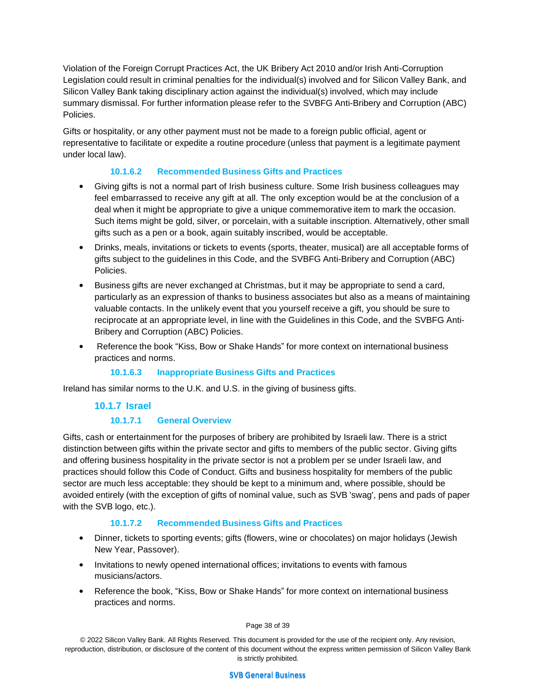Violation of the Foreign Corrupt Practices Act, the UK Bribery Act 2010 and/or Irish Anti-Corruption Legislation could result in criminal penalties for the individual(s) involved and for Silicon Valley Bank, and Silicon Valley Bank taking disciplinary action against the individual(s) involved, which may include summary dismissal. For further information please refer to the SVBFG Anti-Bribery and Corruption (ABC) Policies.

Gifts or hospitality, or any other payment must not be made to a foreign public official, agent or representative to facilitate or expedite a routine procedure (unless that payment is a legitimate payment under local law).

#### **10.1.6.2 Recommended Business Gifts and Practices**

- Giving gifts is not a normal part of Irish business culture. Some Irish business colleagues may feel embarrassed to receive any gift at all. The only exception would be at the conclusion of a deal when it might be appropriate to give a unique commemorative item to mark the occasion. Such items might be gold, silver, or porcelain, with a suitable inscription. Alternatively, other small gifts such as a pen or a book, again suitably inscribed, would be acceptable.
- Drinks, meals, invitations or tickets to events (sports, theater, musical) are all acceptable forms of gifts subject to the guidelines in this Code, and the SVBFG Anti-Bribery and Corruption (ABC) Policies.
- Business gifts are never exchanged at Christmas, but it may be appropriate to send a card, particularly as an expression of thanks to business associates but also as a means of maintaining valuable contacts. In the unlikely event that you yourself receive a gift, you should be sure to reciprocate at an appropriate level, in line with the Guidelines in this Code, and the SVBFG Anti-Bribery and Corruption (ABC) Policies.
- Reference the book "Kiss, Bow or Shake Hands" for more context on international business practices and norms.

#### **10.1.6.3 Inappropriate Business Gifts and Practices**

Ireland has similar norms to the U.K. and U.S. in the giving of business gifts.

#### **10.1.7 Israel**

#### **10.1.7.1 General Overview**

Gifts, cash or entertainment for the purposes of bribery are prohibited by Israeli law. There is a strict distinction between gifts within the private sector and gifts to members of the public sector. Giving gifts and offering business hospitality in the private sector is not a problem per se under Israeli law, and practices should follow this Code of Conduct. Gifts and business hospitality for members of the public sector are much less acceptable: they should be kept to a minimum and, where possible, should be avoided entirely (with the exception of gifts of nominal value, such as SVB 'swag', pens and pads of paper with the SVB logo, etc.).

#### **10.1.7.2 Recommended Business Gifts and Practices**

- Dinner, tickets to sporting events; gifts (flowers, wine or chocolates) on major holidays (Jewish New Year, Passover).
- Invitations to newly opened international offices; invitations to events with famous musicians/actors.
- Reference the book, "Kiss, Bow or Shake Hands" for more context on international business practices and norms.

#### Page 38 of 39